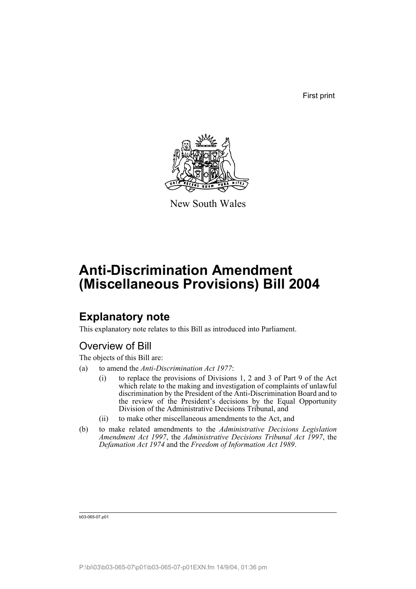First print



New South Wales

# **Anti-Discrimination Amendment (Miscellaneous Provisions) Bill 2004**

## **Explanatory note**

This explanatory note relates to this Bill as introduced into Parliament.

## Overview of Bill

The objects of this Bill are:

- (a) to amend the *Anti-Discrimination Act 1977*:
	- (i) to replace the provisions of Divisions 1, 2 and 3 of Part 9 of the Act which relate to the making and investigation of complaints of unlawful discrimination by the President of the Anti-Discrimination Board and to the review of the President's decisions by the Equal Opportunity Division of the Administrative Decisions Tribunal, and
	- (ii) to make other miscellaneous amendments to the Act, and
- (b) to make related amendments to the *Administrative Decisions Legislation Amendment Act 1997*, the *Administrative Decisions Tribunal Act 1997*, the *Defamation Act 1974* and the *Freedom of Information Act 1989*.

b03-065-07.p01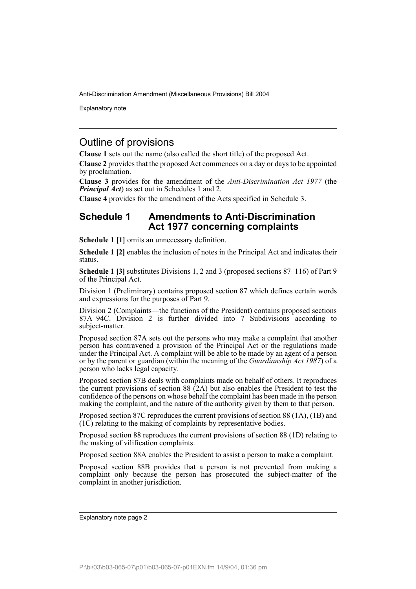Explanatory note

## Outline of provisions

**Clause 1** sets out the name (also called the short title) of the proposed Act.

**Clause 2** provides that the proposed Act commences on a day or days to be appointed by proclamation.

**Clause 3** provides for the amendment of the *Anti-Discrimination Act 1977* (the *Principal Act*) as set out in Schedules 1 and 2.

**Clause 4** provides for the amendment of the Acts specified in Schedule 3.

### **Schedule 1 Amendments to Anti-Discrimination Act 1977 concerning complaints**

**Schedule 1 [1]** omits an unnecessary definition.

**Schedule 1 [2]** enables the inclusion of notes in the Principal Act and indicates their status.

**Schedule 1 [3]** substitutes Divisions 1, 2 and 3 (proposed sections 87–116) of Part 9 of the Principal Act.

Division 1 (Preliminary) contains proposed section 87 which defines certain words and expressions for the purposes of Part 9.

Division 2 (Complaints—the functions of the President) contains proposed sections 87A–94C. Division 2 is further divided into 7 Subdivisions according to subject-matter.

Proposed section 87A sets out the persons who may make a complaint that another person has contravened a provision of the Principal Act or the regulations made under the Principal Act. A complaint will be able to be made by an agent of a person or by the parent or guardian (within the meaning of the *Guardianship Act 1987*) of a person who lacks legal capacity.

Proposed section 87B deals with complaints made on behalf of others. It reproduces the current provisions of section 88 (2A) but also enables the President to test the confidence of the persons on whose behalf the complaint has been made in the person making the complaint, and the nature of the authority given by them to that person.

Proposed section 87C reproduces the current provisions of section 88 (1A), (1B) and  $(1\hat{C})$  relating to the making of complaints by representative bodies.

Proposed section 88 reproduces the current provisions of section 88 (1D) relating to the making of vilification complaints.

Proposed section 88A enables the President to assist a person to make a complaint.

Proposed section 88B provides that a person is not prevented from making a complaint only because the person has prosecuted the subject-matter of the complaint in another jurisdiction.

Explanatory note page 2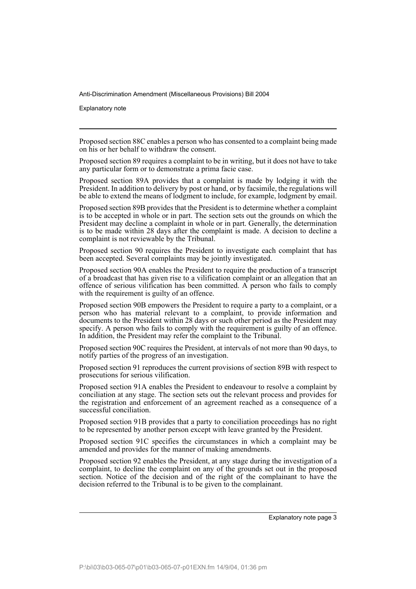Explanatory note

Proposed section 88C enables a person who has consented to a complaint being made on his or her behalf to withdraw the consent.

Proposed section 89 requires a complaint to be in writing, but it does not have to take any particular form or to demonstrate a prima facie case.

Proposed section 89A provides that a complaint is made by lodging it with the President. In addition to delivery by post or hand, or by facsimile, the regulations will be able to extend the means of lodgment to include, for example, lodgment by email.

Proposed section 89B provides that the President is to determine whether a complaint is to be accepted in whole or in part. The section sets out the grounds on which the President may decline a complaint in whole or in part. Generally, the determination is to be made within 28 days after the complaint is made. A decision to decline a complaint is not reviewable by the Tribunal.

Proposed section 90 requires the President to investigate each complaint that has been accepted. Several complaints may be jointly investigated.

Proposed section 90A enables the President to require the production of a transcript of a broadcast that has given rise to a vilification complaint or an allegation that an offence of serious vilification has been committed. A person who fails to comply with the requirement is guilty of an offence.

Proposed section 90B empowers the President to require a party to a complaint, or a person who has material relevant to a complaint, to provide information and documents to the President within 28 days or such other period as the President may specify. A person who fails to comply with the requirement is guilty of an offence. In addition, the President may refer the complaint to the Tribunal.

Proposed section 90C requires the President, at intervals of not more than 90 days, to notify parties of the progress of an investigation.

Proposed section 91 reproduces the current provisions of section 89B with respect to prosecutions for serious vilification.

Proposed section 91A enables the President to endeavour to resolve a complaint by conciliation at any stage. The section sets out the relevant process and provides for the registration and enforcement of an agreement reached as a consequence of a successful conciliation.

Proposed section 91B provides that a party to conciliation proceedings has no right to be represented by another person except with leave granted by the President.

Proposed section 91C specifies the circumstances in which a complaint may be amended and provides for the manner of making amendments.

Proposed section 92 enables the President, at any stage during the investigation of a complaint, to decline the complaint on any of the grounds set out in the proposed section. Notice of the decision and of the right of the complainant to have the decision referred to the Tribunal is to be given to the complainant.

Explanatory note page 3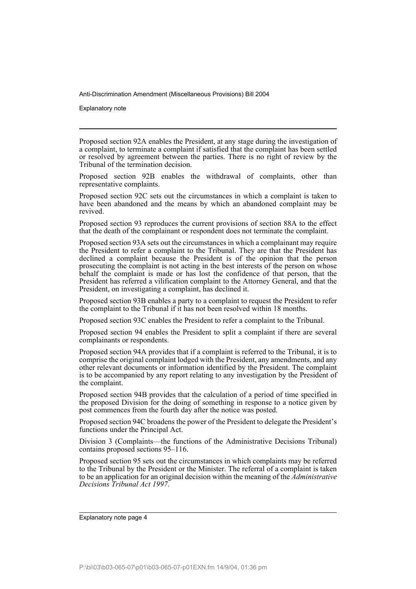Explanatory note

Proposed section 92A enables the President, at any stage during the investigation of a complaint, to terminate a complaint if satisfied that the complaint has been settled or resolved by agreement between the parties. There is no right of review by the Tribunal of the termination decision.

Proposed section 92B enables the withdrawal of complaints, other than representative complaints.

Proposed section 92C sets out the circumstances in which a complaint is taken to have been abandoned and the means by which an abandoned complaint may be revived.

Proposed section 93 reproduces the current provisions of section 88A to the effect that the death of the complainant or respondent does not terminate the complaint.

Proposed section 93A sets out the circumstances in which a complainant may require the President to refer a complaint to the Tribunal. They are that the President has declined a complaint because the President is of the opinion that the person prosecuting the complaint is not acting in the best interests of the person on whose behalf the complaint is made or has lost the confidence of that person, that the President has referred a vilification complaint to the Attorney General, and that the President, on investigating a complaint, has declined it.

Proposed section 93B enables a party to a complaint to request the President to refer the complaint to the Tribunal if it has not been resolved within 18 months.

Proposed section 93C enables the President to refer a complaint to the Tribunal.

Proposed section 94 enables the President to split a complaint if there are several complainants or respondents.

Proposed section 94A provides that if a complaint is referred to the Tribunal, it is to comprise the original complaint lodged with the President, any amendments, and any other relevant documents or information identified by the President. The complaint is to be accompanied by any report relating to any investigation by the President of the complaint.

Proposed section 94B provides that the calculation of a period of time specified in the proposed Division for the doing of something in response to a notice given by post commences from the fourth day after the notice was posted.

Proposed section 94C broadens the power of the President to delegate the President's functions under the Principal Act.

Division 3 (Complaints—the functions of the Administrative Decisions Tribunal) contains proposed sections 95–116.

Proposed section 95 sets out the circumstances in which complaints may be referred to the Tribunal by the President or the Minister. The referral of a complaint is taken to be an application for an original decision within the meaning of the *Administrative Decisions Tribunal Act 1997*.

Explanatory note page 4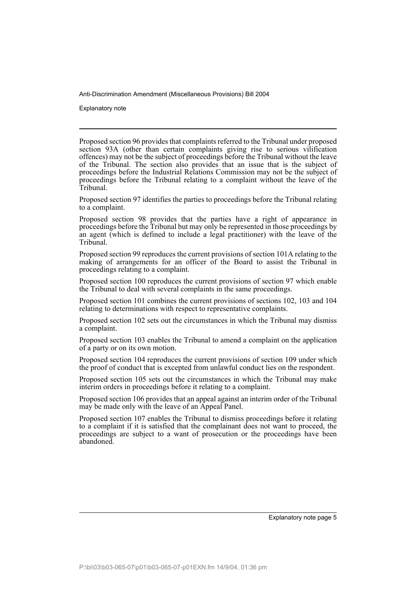Explanatory note

Proposed section 96 provides that complaints referred to the Tribunal under proposed section 93A (other than certain complaints giving rise to serious vilification offences) may not be the subject of proceedings before the Tribunal without the leave of the Tribunal. The section also provides that an issue that is the subject of proceedings before the Industrial Relations Commission may not be the subject of proceedings before the Tribunal relating to a complaint without the leave of the Tribunal.

Proposed section 97 identifies the parties to proceedings before the Tribunal relating to a complaint.

Proposed section 98 provides that the parties have a right of appearance in proceedings before the Tribunal but may only be represented in those proceedings by an agent (which is defined to include a legal practitioner) with the leave of the Tribunal.

Proposed section 99 reproduces the current provisions of section 101A relating to the making of arrangements for an officer of the Board to assist the Tribunal in proceedings relating to a complaint.

Proposed section 100 reproduces the current provisions of section 97 which enable the Tribunal to deal with several complaints in the same proceedings.

Proposed section 101 combines the current provisions of sections 102, 103 and 104 relating to determinations with respect to representative complaints.

Proposed section 102 sets out the circumstances in which the Tribunal may dismiss a complaint.

Proposed section 103 enables the Tribunal to amend a complaint on the application of a party or on its own motion.

Proposed section 104 reproduces the current provisions of section 109 under which the proof of conduct that is excepted from unlawful conduct lies on the respondent.

Proposed section 105 sets out the circumstances in which the Tribunal may make interim orders in proceedings before it relating to a complaint.

Proposed section 106 provides that an appeal against an interim order of the Tribunal may be made only with the leave of an Appeal Panel.

Proposed section 107 enables the Tribunal to dismiss proceedings before it relating to a complaint if it is satisfied that the complainant does not want to proceed, the proceedings are subject to a want of prosecution or the proceedings have been abandoned.

Explanatory note page 5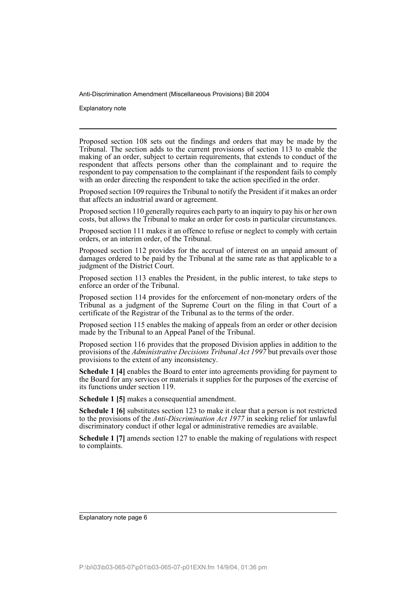Explanatory note

Proposed section 108 sets out the findings and orders that may be made by the Tribunal. The section adds to the current provisions of section 113 to enable the making of an order, subject to certain requirements, that extends to conduct of the respondent that affects persons other than the complainant and to require the respondent to pay compensation to the complainant if the respondent fails to comply with an order directing the respondent to take the action specified in the order.

Proposed section 109 requires the Tribunal to notify the President if it makes an order that affects an industrial award or agreement.

Proposed section 110 generally requires each party to an inquiry to pay his or her own costs, but allows the Tribunal to make an order for costs in particular circumstances.

Proposed section 111 makes it an offence to refuse or neglect to comply with certain orders, or an interim order, of the Tribunal.

Proposed section 112 provides for the accrual of interest on an unpaid amount of damages ordered to be paid by the Tribunal at the same rate as that applicable to a judgment of the District Court.

Proposed section 113 enables the President, in the public interest, to take steps to enforce an order of the Tribunal.

Proposed section 114 provides for the enforcement of non-monetary orders of the Tribunal as a judgment of the Supreme Court on the filing in that Court of a certificate of the Registrar of the Tribunal as to the terms of the order.

Proposed section 115 enables the making of appeals from an order or other decision made by the Tribunal to an Appeal Panel of the Tribunal.

Proposed section 116 provides that the proposed Division applies in addition to the provisions of the *Administrative Decisions Tribunal Act 1997* but prevails over those provisions to the extent of any inconsistency.

**Schedule 1 [4]** enables the Board to enter into agreements providing for payment to the Board for any services or materials it supplies for the purposes of the exercise of its functions under section 119.

**Schedule 1 [5]** makes a consequential amendment.

**Schedule 1 [6]** substitutes section 123 to make it clear that a person is not restricted to the provisions of the *Anti-Discrimination Act 1977* in seeking relief for unlawful discriminatory conduct if other legal or administrative remedies are available.

**Schedule 1 [7]** amends section 127 to enable the making of regulations with respect to complaints.

Explanatory note page 6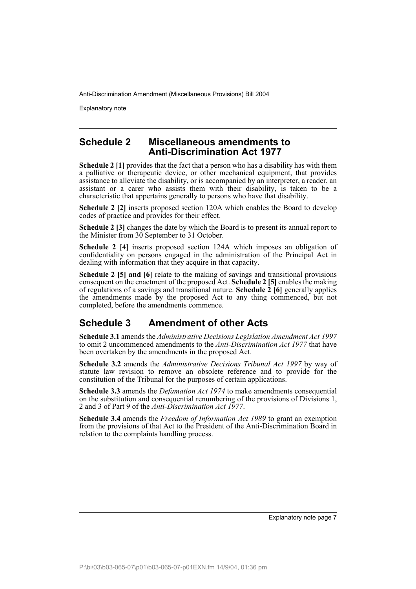Explanatory note

## **Schedule 2 Miscellaneous amendments to Anti-Discrimination Act 1977**

**Schedule 2 [1]** provides that the fact that a person who has a disability has with them a palliative or therapeutic device, or other mechanical equipment, that provides assistance to alleviate the disability, or is accompanied by an interpreter, a reader, an assistant or a carer who assists them with their disability, is taken to be a characteristic that appertains generally to persons who have that disability.

**Schedule 2 [2]** inserts proposed section 120A which enables the Board to develop codes of practice and provides for their effect.

**Schedule 2 [3]** changes the date by which the Board is to present its annual report to the Minister from 30 September to 31 October.

**Schedule 2 [4]** inserts proposed section 124A which imposes an obligation of confidentiality on persons engaged in the administration of the Principal Act in dealing with information that they acquire in that capacity.

**Schedule 2 [5] and [6]** relate to the making of savings and transitional provisions consequent on the enactment of the proposed Act. **Schedule 2 [5]** enables the making of regulations of a savings and transitional nature. **Schedule 2 [6]** generally applies the amendments made by the proposed Act to any thing commenced, but not completed, before the amendments commence.

## **Schedule 3 Amendment of other Acts**

**Schedule 3.1** amends the *Administrative Decisions Legislation Amendment Act 1997* to omit 2 uncommenced amendments to the *Anti-Discrimination Act 1977* that have been overtaken by the amendments in the proposed Act.

**Schedule 3.2** amends the *Administrative Decisions Tribunal Act 1997* by way of statute law revision to remove an obsolete reference and to provide for the constitution of the Tribunal for the purposes of certain applications.

**Schedule 3.3** amends the *Defamation Act 1974* to make amendments consequential on the substitution and consequential renumbering of the provisions of Divisions 1, 2 and 3 of Part 9 of the *Anti-Discrimination Act 1977*.

**Schedule 3.4** amends the *Freedom of Information Act 1989* to grant an exemption from the provisions of that Act to the President of the Anti-Discrimination Board in relation to the complaints handling process.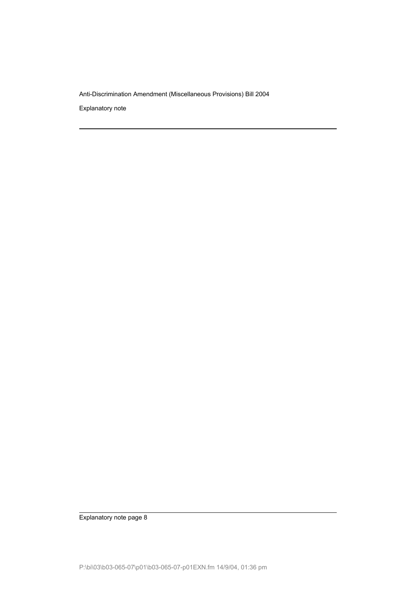Explanatory note

Explanatory note page 8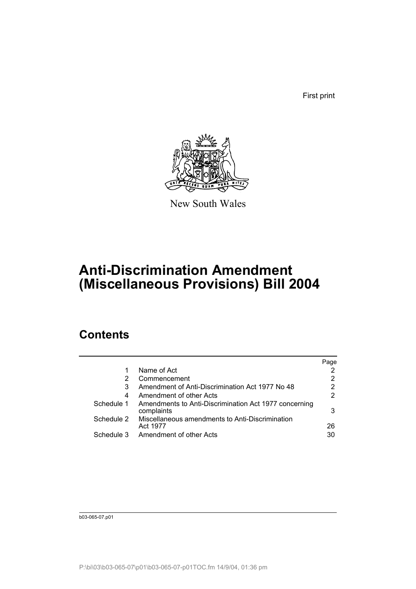First print



New South Wales

# **Anti-Discrimination Amendment (Miscellaneous Provisions) Bill 2004**

## **Contents**

|            |                                                                     | Page |
|------------|---------------------------------------------------------------------|------|
| 1          | Name of Act                                                         |      |
| 2          | Commencement                                                        | 2    |
| 3          | Amendment of Anti-Discrimination Act 1977 No 48                     | 2    |
| 4          | Amendment of other Acts                                             | 2    |
| Schedule 1 | Amendments to Anti-Discrimination Act 1977 concerning<br>complaints | 3    |
| Schedule 2 | Miscellaneous amendments to Anti-Discrimination<br>Act 1977         | 26   |
| Schedule 3 | Amendment of other Acts                                             | 30   |

b03-065-07.p01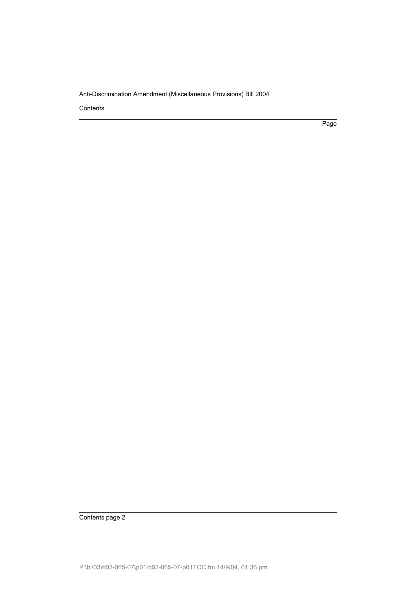Contents

Page

Contents page 2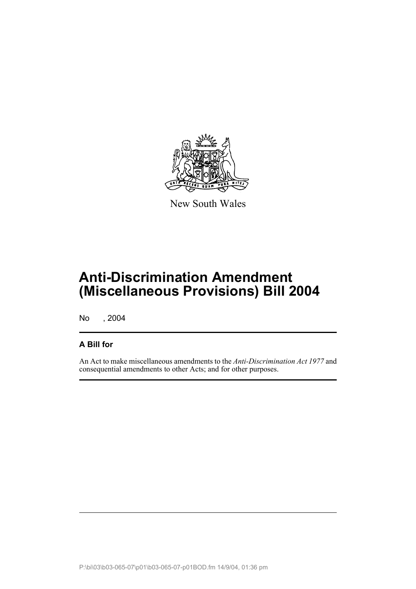

New South Wales

# **Anti-Discrimination Amendment (Miscellaneous Provisions) Bill 2004**

No , 2004

## **A Bill for**

An Act to make miscellaneous amendments to the *Anti-Discrimination Act 1977* and consequential amendments to other Acts; and for other purposes.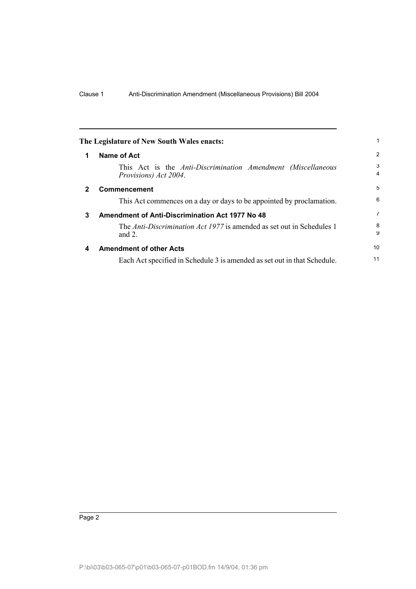<span id="page-11-3"></span><span id="page-11-2"></span><span id="page-11-1"></span><span id="page-11-0"></span>

| The Legislature of New South Wales enacts:                                                    | 1              |
|-----------------------------------------------------------------------------------------------|----------------|
| Name of Act                                                                                   | $\overline{2}$ |
| This Act is the Anti-Discrimination Amendment (Miscellaneous<br><i>Provisions</i> ) Act 2004. | 3<br>4         |
| Commencement                                                                                  | 5              |
| This Act commences on a day or days to be appointed by proclamation.                          | 6              |
| <b>Amendment of Anti-Discrimination Act 1977 No 48</b>                                        | 7              |
| The <i>Anti-Discrimination Act 1977</i> is amended as set out in Schedules 1<br>and $2$ .     | 8<br>9         |
| <b>Amendment of other Acts</b>                                                                | 10             |
| Each Act specified in Schedule 3 is amended as set out in that Schedule.                      | 11             |
|                                                                                               |                |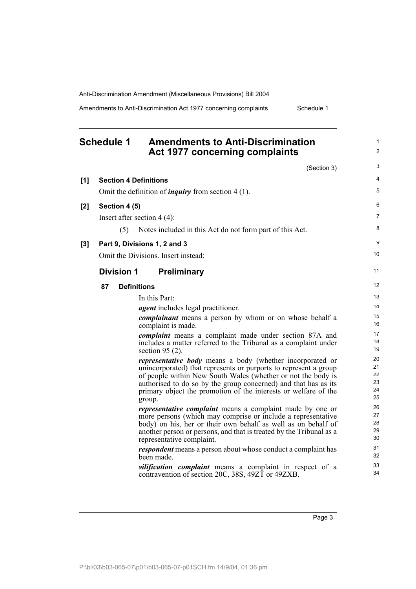Amendments to Anti-Discrimination Act 1977 concerning complaints Schedule 1

#### <span id="page-12-0"></span>**Schedule 1 Amendments to Anti-Discrimination Act 1977 concerning complaints** (Section 3) **[1] Section 4 Definitions** Omit the definition of *inquiry* from section 4 (1). **[2] Section 4 (5)** Insert after section 4 (4): (5) Notes included in this Act do not form part of this Act. **[3] Part 9, Divisions 1, 2 and 3** Omit the Divisions. Insert instead: **Division 1 Preliminary 87 Definitions** In this Part: *agent* includes legal practitioner. *complainant* means a person by whom or on whose behalf a complaint is made. *complaint* means a complaint made under section 87A and includes a matter referred to the Tribunal as a complaint under section 95 (2). *representative body* means a body (whether incorporated or unincorporated) that represents or purports to represent a group of people within New South Wales (whether or not the body is authorised to do so by the group concerned) and that has as its primary object the promotion of the interests or welfare of the group. *representative complaint* means a complaint made by one or more persons (which may comprise or include a representative body) on his, her or their own behalf as well as on behalf of another person or persons, and that is treated by the Tribunal as a representative complaint. *respondent* means a person about whose conduct a complaint has been made. *vilification complaint* means a complaint in respect of a contravention of section 20C, 38S, 49ZT or 49ZXB. 1  $\overline{2}$ 3 4 5 6 7 8 9 10 11 12 13 14 15 16 17 18 19  $20$ 21 22 23  $24$ 25 26 27 28 29 30 31 32 33 34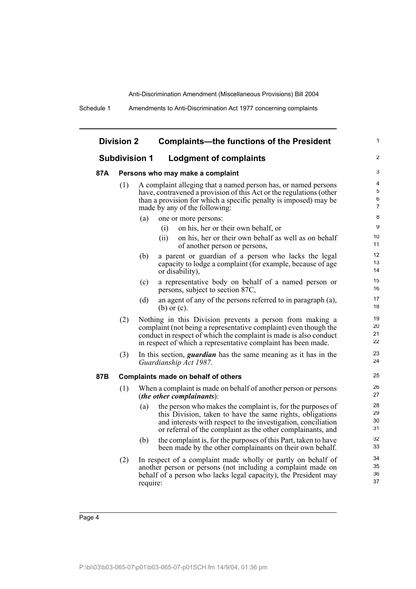|     | <b>Division 2</b> | <b>Complaints-the functions of the President</b>                                                                                                                                                                                                                   | 1                                          |
|-----|-------------------|--------------------------------------------------------------------------------------------------------------------------------------------------------------------------------------------------------------------------------------------------------------------|--------------------------------------------|
|     |                   | <b>Subdivision 1</b><br><b>Lodgment of complaints</b>                                                                                                                                                                                                              | 2                                          |
| 87A |                   | Persons who may make a complaint                                                                                                                                                                                                                                   | 3                                          |
|     | (1)               | A complaint alleging that a named person has, or named persons<br>have, contravened a provision of this Act or the regulations (other<br>than a provision for which a specific penalty is imposed) may be<br>made by any of the following:                         | 4<br>$\overline{5}$<br>6<br>$\overline{7}$ |
|     |                   | (a)<br>one or more persons:                                                                                                                                                                                                                                        | 8                                          |
|     |                   | (i)<br>on his, her or their own behalf, or                                                                                                                                                                                                                         | 9                                          |
|     |                   | (ii)<br>on his, her or their own behalf as well as on behalf<br>of another person or persons,                                                                                                                                                                      | 10<br>11                                   |
|     |                   | a parent or guardian of a person who lacks the legal<br>(b)<br>capacity to lodge a complaint (for example, because of age<br>or disability),                                                                                                                       | 12<br>13<br>14                             |
|     |                   | a representative body on behalf of a named person or<br>(c)<br>persons, subject to section 87C,                                                                                                                                                                    | 15<br>16                                   |
|     |                   | an agent of any of the persons referred to in paragraph (a),<br>(d)<br>$(b)$ or $(c)$ .                                                                                                                                                                            | 17<br>18                                   |
|     | (2)               | Nothing in this Division prevents a person from making a<br>complaint (not being a representative complaint) even though the<br>conduct in respect of which the complaint is made is also conduct<br>in respect of which a representative complaint has been made. | 19<br>20<br>21<br>22                       |
|     | (3)               | In this section, <i>guardian</i> has the same meaning as it has in the<br>Guardianship Act 1987.                                                                                                                                                                   | 23<br>24                                   |
| 87B |                   | <b>Complaints made on behalf of others</b>                                                                                                                                                                                                                         | 25                                         |
|     | (1)               | When a complaint is made on behalf of another person or persons<br>( <i>the other complainants</i> ):                                                                                                                                                              | 26<br>27                                   |
|     |                   | the person who makes the complaint is, for the purposes of<br>(a)<br>this Division, taken to have the same rights, obligations<br>and interests with respect to the investigation, conciliation<br>or referral of the complaint as the other complainants, and     | 28<br>29<br>30<br>31                       |
|     |                   | the complaint is, for the purposes of this Part, taken to have<br>(b)<br>been made by the other complainants on their own behalf.                                                                                                                                  | 32<br>33                                   |
|     | (2)               | In respect of a complaint made wholly or partly on behalf of<br>another person or persons (not including a complaint made on<br>behalf of a person who lacks legal capacity), the President may<br>require:                                                        | 34<br>35<br>36<br>37                       |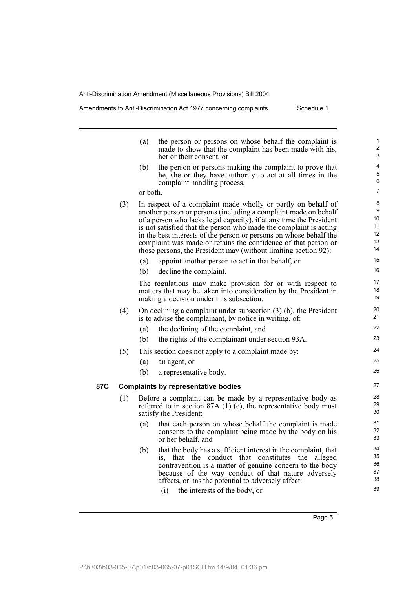Amendments to Anti-Discrimination Act 1977 concerning complaints Schedule 1

|     |     | (a)      | the person or persons on whose behalf the complaint is<br>made to show that the complaint has been made with his,<br>her or their consent, or                                                                                                                                                                                                                                                                                                                                          | 1<br>2<br>3                          |
|-----|-----|----------|----------------------------------------------------------------------------------------------------------------------------------------------------------------------------------------------------------------------------------------------------------------------------------------------------------------------------------------------------------------------------------------------------------------------------------------------------------------------------------------|--------------------------------------|
|     |     | (b)      | the person or persons making the complaint to prove that<br>he, she or they have authority to act at all times in the<br>complaint handling process,                                                                                                                                                                                                                                                                                                                                   | 4<br>5<br>6                          |
|     |     | or both. |                                                                                                                                                                                                                                                                                                                                                                                                                                                                                        | 7                                    |
|     | (3) |          | In respect of a complaint made wholly or partly on behalf of<br>another person or persons (including a complaint made on behalf<br>of a person who lacks legal capacity), if at any time the President<br>is not satisfied that the person who made the complaint is acting<br>in the best interests of the person or persons on whose behalf the<br>complaint was made or retains the confidence of that person or<br>those persons, the President may (without limiting section 92): | 8<br>9<br>10<br>11<br>12<br>13<br>14 |
|     |     | (a)      | appoint another person to act in that behalf, or                                                                                                                                                                                                                                                                                                                                                                                                                                       | 15                                   |
|     |     | (b)      | decline the complaint.                                                                                                                                                                                                                                                                                                                                                                                                                                                                 | 16                                   |
|     |     |          | The regulations may make provision for or with respect to<br>matters that may be taken into consideration by the President in<br>making a decision under this subsection.                                                                                                                                                                                                                                                                                                              | 17<br>18<br>19                       |
|     | (4) |          | On declining a complaint under subsection $(3)$ (b), the President<br>is to advise the complainant, by notice in writing, of:                                                                                                                                                                                                                                                                                                                                                          | 20<br>21                             |
|     |     | (a)      | the declining of the complaint, and                                                                                                                                                                                                                                                                                                                                                                                                                                                    | 22                                   |
|     |     | (b)      | the rights of the complainant under section 93A.                                                                                                                                                                                                                                                                                                                                                                                                                                       | 23                                   |
|     | (5) |          | This section does not apply to a complaint made by:                                                                                                                                                                                                                                                                                                                                                                                                                                    | 24                                   |
|     |     | (a)      | an agent, or                                                                                                                                                                                                                                                                                                                                                                                                                                                                           | 25                                   |
|     |     | (b)      | a representative body.                                                                                                                                                                                                                                                                                                                                                                                                                                                                 | 26                                   |
| 87C |     |          | <b>Complaints by representative bodies</b>                                                                                                                                                                                                                                                                                                                                                                                                                                             | 27                                   |
|     | (1) |          | Before a complaint can be made by a representative body as<br>referred to in section $87A(1)(c)$ , the representative body must<br>satisfy the President:                                                                                                                                                                                                                                                                                                                              | 28<br>29<br>30                       |
|     |     | (a)      | that each person on whose behalf the complaint is made<br>consents to the complaint being made by the body on his<br>or her behalf, and                                                                                                                                                                                                                                                                                                                                                | 31<br>32<br>33                       |
|     |     | (b)      | that the body has a sufficient interest in the complaint, that<br>is, that the conduct that constitutes the alleged<br>contravention is a matter of genuine concern to the body<br>because of the way conduct of that nature adversely<br>affects, or has the potential to adversely affect:<br>the interests of the body, or<br>(i)                                                                                                                                                   | 34<br>35<br>36<br>37<br>38<br>39     |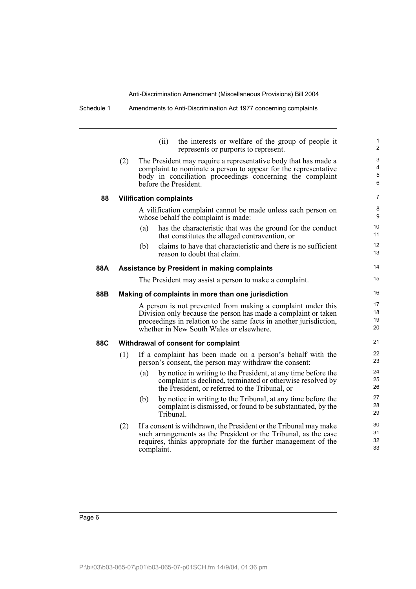|     | (ii)<br>the interests or welfare of the group of people it<br>represents or purports to represent.                                                                                                                                               | $\mathbf{1}$<br>$\overline{2}$         |
|-----|--------------------------------------------------------------------------------------------------------------------------------------------------------------------------------------------------------------------------------------------------|----------------------------------------|
|     | The President may require a representative body that has made a<br>(2)<br>complaint to nominate a person to appear for the representative<br>body in conciliation proceedings concerning the complaint<br>before the President.                  | 3<br>$\overline{4}$<br>$\sqrt{5}$<br>6 |
| 88  | <b>Vilification complaints</b>                                                                                                                                                                                                                   | $\overline{7}$                         |
|     | A vilification complaint cannot be made unless each person on<br>whose behalf the complaint is made:                                                                                                                                             | 8<br>9                                 |
|     | has the characteristic that was the ground for the conduct<br>(a)<br>that constitutes the alleged contravention, or                                                                                                                              | 10<br>11                               |
|     | claims to have that characteristic and there is no sufficient<br>(b)<br>reason to doubt that claim.                                                                                                                                              | 12<br>13                               |
| 88A | <b>Assistance by President in making complaints</b>                                                                                                                                                                                              | 14                                     |
|     | The President may assist a person to make a complaint.                                                                                                                                                                                           | 15                                     |
| 88B | Making of complaints in more than one jurisdiction                                                                                                                                                                                               | 16                                     |
|     | A person is not prevented from making a complaint under this<br>Division only because the person has made a complaint or taken<br>proceedings in relation to the same facts in another jurisdiction,<br>whether in New South Wales or elsewhere. | 17<br>18<br>19<br>20                   |
| 88C | Withdrawal of consent for complaint                                                                                                                                                                                                              | 21                                     |
|     | If a complaint has been made on a person's behalf with the<br>(1)<br>person's consent, the person may withdraw the consent:                                                                                                                      | 22<br>23                               |
|     | by notice in writing to the President, at any time before the<br>(a)<br>complaint is declined, terminated or otherwise resolved by<br>the President, or referred to the Tribunal, or                                                             | 24<br>25<br>26                         |
|     | by notice in writing to the Tribunal, at any time before the<br>(b)<br>complaint is dismissed, or found to be substantiated, by the<br>Tribunal.                                                                                                 | 27<br>28<br>29                         |
|     | If a consent is withdrawn, the President or the Tribunal may make<br>(2)<br>such arrangements as the President or the Tribunal, as the case<br>requires, thinks appropriate for the further management of the<br>complaint.                      | 30<br>31<br>32<br>33                   |

Schedule 1 Amendments to Anti-Discrimination Act 1977 concerning complaints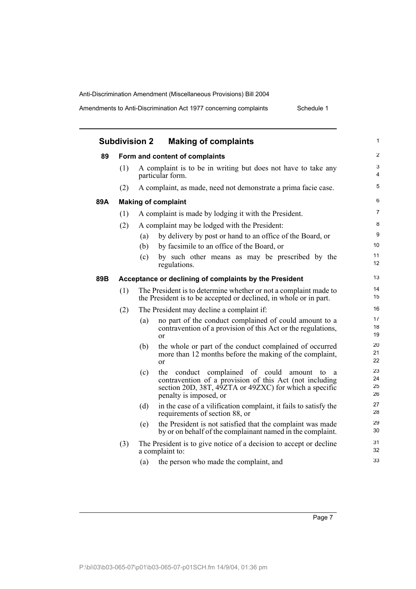Amendments to Anti-Discrimination Act 1977 concerning complaints Schedule 1

|     |     | <b>Subdivision 2</b><br><b>Making of complaints</b>                                                                                                                                                           | 1                    |
|-----|-----|---------------------------------------------------------------------------------------------------------------------------------------------------------------------------------------------------------------|----------------------|
| 89  |     | Form and content of complaints                                                                                                                                                                                | 2                    |
|     | (1) | A complaint is to be in writing but does not have to take any<br>particular form.                                                                                                                             | 3<br>4               |
|     | (2) | A complaint, as made, need not demonstrate a prima facie case.                                                                                                                                                | 5                    |
| 89A |     | <b>Making of complaint</b>                                                                                                                                                                                    | 6                    |
|     | (1) | A complaint is made by lodging it with the President.                                                                                                                                                         | $\overline{7}$       |
|     | (2) | A complaint may be lodged with the President:                                                                                                                                                                 | 8                    |
|     |     | by delivery by post or hand to an office of the Board, or<br>(a)                                                                                                                                              | 9                    |
|     |     | by facsimile to an office of the Board, or<br>(b)                                                                                                                                                             | 10                   |
|     |     | (c)<br>by such other means as may be prescribed by the<br>regulations.                                                                                                                                        | 11<br>12             |
| 89B |     | Acceptance or declining of complaints by the President                                                                                                                                                        | 13                   |
|     | (1) | The President is to determine whether or not a complaint made to<br>the President is to be accepted or declined, in whole or in part.                                                                         | 14<br>15             |
|     | (2) | The President may decline a complaint if:                                                                                                                                                                     | 16                   |
|     |     | no part of the conduct complained of could amount to a<br>(a)<br>contravention of a provision of this Act or the regulations,<br>or                                                                           | 17<br>18<br>19       |
|     |     | the whole or part of the conduct complained of occurred<br>(b)<br>more than 12 months before the making of the complaint,<br><sub>or</sub>                                                                    | 20<br>21<br>22       |
|     |     | conduct complained of could<br>(c)<br>the<br>amount<br>to<br>a<br>contravention of a provision of this Act (not including<br>section 20D, 38T, 49ZTA or 49ZXC) for which a specific<br>penalty is imposed, or | 23<br>24<br>25<br>26 |
|     |     | in the case of a vilification complaint, it fails to satisfy the<br>(d)<br>requirements of section 88, or                                                                                                     | 27<br>28             |
|     |     | the President is not satisfied that the complaint was made<br>(e)<br>by or on behalf of the complainant named in the complaint.                                                                               | 29<br>30             |
|     | (3) | The President is to give notice of a decision to accept or decline<br>a complaint to:                                                                                                                         | 31<br>32             |
|     |     | (a)<br>the person who made the complaint, and                                                                                                                                                                 | 33                   |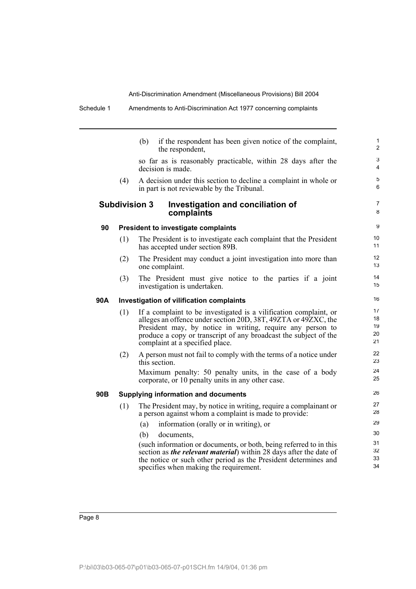|     |     | if the respondent has been given notice of the complaint,<br>(b)<br>the respondent,                                                                                                                                                                                                                      | 1<br>$\overline{c}$        |
|-----|-----|----------------------------------------------------------------------------------------------------------------------------------------------------------------------------------------------------------------------------------------------------------------------------------------------------------|----------------------------|
|     |     | so far as is reasonably practicable, within 28 days after the<br>decision is made.                                                                                                                                                                                                                       | 3<br>4                     |
|     | (4) | A decision under this section to decline a complaint in whole or<br>in part is not reviewable by the Tribunal.                                                                                                                                                                                           | 5<br>6                     |
|     |     | <b>Subdivision 3</b><br>Investigation and conciliation of<br>complaints                                                                                                                                                                                                                                  | $\overline{7}$<br>8        |
| 90  |     | <b>President to investigate complaints</b>                                                                                                                                                                                                                                                               | 9                          |
|     | (1) | The President is to investigate each complaint that the President<br>has accepted under section 89B.                                                                                                                                                                                                     | 10<br>11                   |
|     | (2) | The President may conduct a joint investigation into more than<br>one complaint.                                                                                                                                                                                                                         | 12<br>13                   |
|     | (3) | The President must give notice to the parties if a joint<br>investigation is undertaken.                                                                                                                                                                                                                 | 14<br>15                   |
| 90A |     | Investigation of vilification complaints                                                                                                                                                                                                                                                                 | 16                         |
|     | (1) | If a complaint to be investigated is a vilification complaint, or<br>alleges an offence under section 20D, 38T, 49ZTA or 49ZXC, the<br>President may, by notice in writing, require any person to<br>produce a copy or transcript of any broadcast the subject of the<br>complaint at a specified place. | 17<br>18<br>19<br>20<br>21 |
|     | (2) | A person must not fail to comply with the terms of a notice under<br>this section.                                                                                                                                                                                                                       | 22<br>23                   |
|     |     | Maximum penalty: 50 penalty units, in the case of a body<br>corporate, or 10 penalty units in any other case.                                                                                                                                                                                            | 24<br>25                   |
| 90B |     | <b>Supplying information and documents</b>                                                                                                                                                                                                                                                               | 26                         |
|     | (1) | The President may, by notice in writing, require a complainant or<br>a person against whom a complaint is made to provide:                                                                                                                                                                               | 27<br>28                   |
|     |     | (a)<br>information (orally or in writing), or                                                                                                                                                                                                                                                            | 29                         |
|     |     | (b)<br>documents,                                                                                                                                                                                                                                                                                        | 30                         |
|     |     | (such information or documents, or both, being referred to in this                                                                                                                                                                                                                                       | 31<br>32                   |
|     |     | section as <i>the relevant material</i> ) within 28 days after the date of<br>the notice or such other period as the President determines and<br>specifies when making the requirement.                                                                                                                  | 33<br>34                   |
|     |     |                                                                                                                                                                                                                                                                                                          |                            |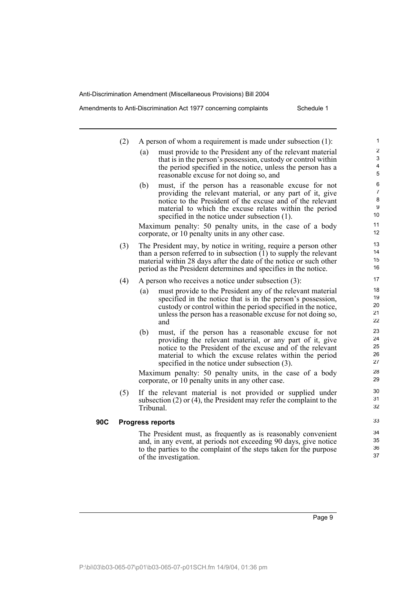Amendments to Anti-Discrimination Act 1977 concerning complaints Schedule 1

|     | (2) | A person of whom a requirement is made under subsection $(1)$ :                                                                                                                                                                                                                                |
|-----|-----|------------------------------------------------------------------------------------------------------------------------------------------------------------------------------------------------------------------------------------------------------------------------------------------------|
|     |     | must provide to the President any of the relevant material<br>(a)<br>that is in the person's possession, custody or control within<br>the period specified in the notice, unless the person has a<br>reasonable excuse for not doing so, and                                                   |
|     |     | (b)<br>must, if the person has a reasonable excuse for not<br>providing the relevant material, or any part of it, give<br>notice to the President of the excuse and of the relevant<br>material to which the excuse relates within the period<br>specified in the notice under subsection (1). |
|     |     | Maximum penalty: 50 penalty units, in the case of a body<br>corporate, or 10 penalty units in any other case.                                                                                                                                                                                  |
|     | (3) | The President may, by notice in writing, require a person other<br>than a person referred to in subsection $(1)$ to supply the relevant<br>material within 28 days after the date of the notice or such other<br>period as the President determines and specifies in the notice.               |
|     | (4) | A person who receives a notice under subsection $(3)$ :                                                                                                                                                                                                                                        |
|     |     | must provide to the President any of the relevant material<br>(a)<br>specified in the notice that is in the person's possession,<br>custody or control within the period specified in the notice,<br>unless the person has a reasonable excuse for not doing so,<br>and                        |
|     |     | (b)<br>must, if the person has a reasonable excuse for not<br>providing the relevant material, or any part of it, give<br>notice to the President of the excuse and of the relevant<br>material to which the excuse relates within the period<br>specified in the notice under subsection (3). |
|     |     | Maximum penalty: 50 penalty units, in the case of a body<br>corporate, or 10 penalty units in any other case.                                                                                                                                                                                  |
|     | (5) | If the relevant material is not provided or supplied under<br>subsection $(2)$ or $(4)$ , the President may refer the complaint to the<br>Tribunal.                                                                                                                                            |
| 90C |     | <b>Progress reports</b>                                                                                                                                                                                                                                                                        |
|     |     | The President must, as frequently as is reasonably convenient<br>and, in any event, at periods not exceeding 90 days, give notice<br>to the parties to the complaint of the steps taken for the purpose<br>of the investigation.                                                               |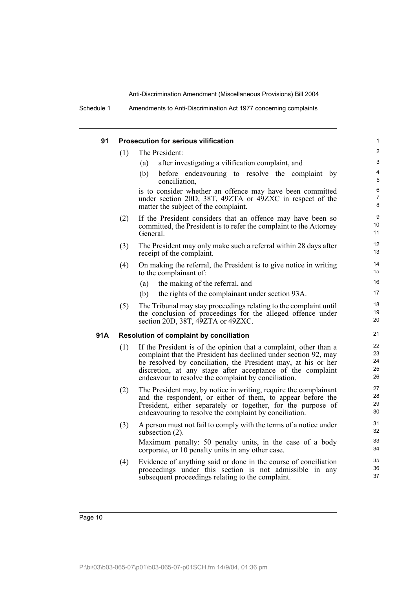Schedule 1 Amendments to Anti-Discrimination Act 1977 concerning complaints

| 91  |     | <b>Prosecution for serious vilification</b>                                                                                                                                                                                                                                                                                | $\mathbf{1}$               |
|-----|-----|----------------------------------------------------------------------------------------------------------------------------------------------------------------------------------------------------------------------------------------------------------------------------------------------------------------------------|----------------------------|
|     | (1) | The President:                                                                                                                                                                                                                                                                                                             | 2                          |
|     |     | after investigating a vilification complaint, and<br>(a)                                                                                                                                                                                                                                                                   | 3                          |
|     |     | (b)<br>before endeavouring to resolve the complaint by<br>conciliation,                                                                                                                                                                                                                                                    | 4<br>5                     |
|     |     | is to consider whether an offence may have been committed<br>under section 20D, 38T, 49ZTA or 49ZXC in respect of the<br>matter the subject of the complaint.                                                                                                                                                              | 6<br>$\overline{7}$<br>8   |
|     | (2) | If the President considers that an offence may have been so<br>committed, the President is to refer the complaint to the Attorney<br>General.                                                                                                                                                                              | 9<br>10<br>11              |
|     | (3) | The President may only make such a referral within 28 days after<br>receipt of the complaint.                                                                                                                                                                                                                              | 12<br>13                   |
|     | (4) | On making the referral, the President is to give notice in writing<br>to the complainant of:                                                                                                                                                                                                                               | 14<br>15                   |
|     |     | the making of the referral, and<br>(a)                                                                                                                                                                                                                                                                                     | 16                         |
|     |     | the rights of the complainant under section 93A.<br>(b)                                                                                                                                                                                                                                                                    | 17                         |
|     | (5) | The Tribunal may stay proceedings relating to the complaint until<br>the conclusion of proceedings for the alleged offence under<br>section 20D, 38T, 49ZTA or 49ZXC.                                                                                                                                                      | 18<br>19<br>20             |
| 91A |     | Resolution of complaint by conciliation                                                                                                                                                                                                                                                                                    | 21                         |
|     | (1) | If the President is of the opinion that a complaint, other than a<br>complaint that the President has declined under section 92, may<br>be resolved by conciliation, the President may, at his or her<br>discretion, at any stage after acceptance of the complaint<br>endeavour to resolve the complaint by conciliation. | 22<br>23<br>24<br>25<br>26 |
|     | (2) | The President may, by notice in writing, require the complainant<br>and the respondent, or either of them, to appear before the<br>President, either separately or together, for the purpose of<br>endeavouring to resolve the complaint by conciliation.                                                                  | 27<br>28<br>29<br>30       |
|     | (3) | A person must not fail to comply with the terms of a notice under<br>subsection $(2)$ .                                                                                                                                                                                                                                    | 31<br>32                   |
|     |     | Maximum penalty: 50 penalty units, in the case of a body<br>corporate, or 10 penalty units in any other case.                                                                                                                                                                                                              | 33<br>34                   |
|     | (4) | Evidence of anything said or done in the course of conciliation<br>proceedings under this section is not admissible in any<br>subsequent proceedings relating to the complaint.                                                                                                                                            | 35<br>36<br>37             |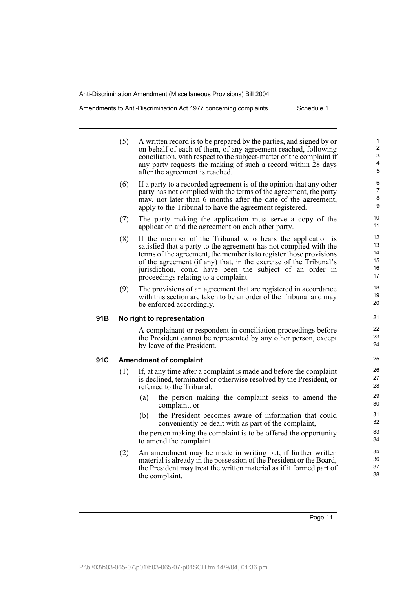Amendments to Anti-Discrimination Act 1977 concerning complaints Schedule 1

|     | (5) | A written record is to be prepared by the parties, and signed by or<br>on behalf of each of them, of any agreement reached, following<br>conciliation, with respect to the subject-matter of the complaint if<br>any party requests the making of such a record within 28 days<br>after the agreement is reached.                                                              | $\mathbf{1}$<br>2<br>3<br>4<br>5 |
|-----|-----|--------------------------------------------------------------------------------------------------------------------------------------------------------------------------------------------------------------------------------------------------------------------------------------------------------------------------------------------------------------------------------|----------------------------------|
|     | (6) | If a party to a recorded agreement is of the opinion that any other<br>party has not complied with the terms of the agreement, the party<br>may, not later than 6 months after the date of the agreement,<br>apply to the Tribunal to have the agreement registered.                                                                                                           | 6<br>7<br>8<br>9                 |
|     | (7) | The party making the application must serve a copy of the<br>application and the agreement on each other party.                                                                                                                                                                                                                                                                | 10<br>11                         |
|     | (8) | If the member of the Tribunal who hears the application is<br>satisfied that a party to the agreement has not complied with the<br>terms of the agreement, the member is to register those provisions<br>of the agreement (if any) that, in the exercise of the Tribunal's<br>jurisdiction, could have been the subject of an order in<br>proceedings relating to a complaint. | 12<br>13<br>14<br>15<br>16<br>17 |
|     | (9) | The provisions of an agreement that are registered in accordance<br>with this section are taken to be an order of the Tribunal and may<br>be enforced accordingly.                                                                                                                                                                                                             | 18<br>19<br>20                   |
| 91B |     | No right to representation                                                                                                                                                                                                                                                                                                                                                     | 21                               |
|     |     | A complainant or respondent in conciliation proceedings before<br>the President cannot be represented by any other person, except<br>by leave of the President.                                                                                                                                                                                                                | 22<br>23<br>24                   |
| 91C |     | <b>Amendment of complaint</b>                                                                                                                                                                                                                                                                                                                                                  | 25                               |
|     | (1) | If, at any time after a complaint is made and before the complaint<br>is declined, terminated or otherwise resolved by the President, or<br>referred to the Tribunal:                                                                                                                                                                                                          | 26<br>27<br>28                   |
|     |     | the person making the complaint seeks to amend the<br>(a)<br>complaint, or                                                                                                                                                                                                                                                                                                     | 29<br>30                         |
|     |     | the President becomes aware of information that could<br>(b)<br>conveniently be dealt with as part of the complaint,                                                                                                                                                                                                                                                           | 31<br>32                         |
|     |     | the person making the complaint is to be offered the opportunity<br>to amend the complaint.                                                                                                                                                                                                                                                                                    | 33<br>34                         |
|     | (2) | An amendment may be made in writing but, if further written<br>material is already in the possession of the President or the Board,<br>the President may treat the written material as if it formed part of<br>the complaint.                                                                                                                                                  | 35<br>36<br>37<br>38             |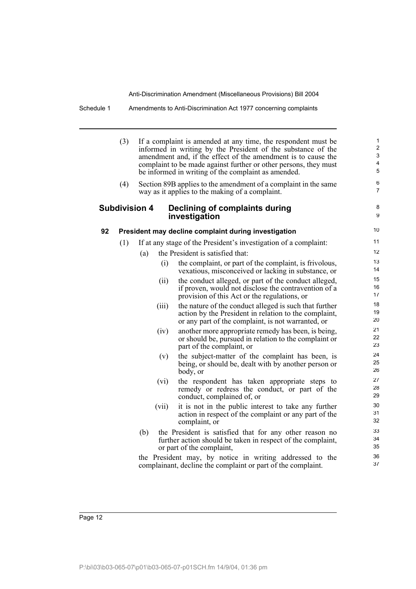Schedule 1 Amendments to Anti-Discrimination Act 1977 concerning complaints

|    | (3) | If a complaint is amended at any time, the respondent must be<br>informed in writing by the President of the substance of the<br>amendment and, if the effect of the amendment is to cause the<br>complaint to be made against further or other persons, they must<br>be informed in writing of the complaint as amended. | 1<br>2<br>$\mathbf 3$<br>4<br>5 |
|----|-----|---------------------------------------------------------------------------------------------------------------------------------------------------------------------------------------------------------------------------------------------------------------------------------------------------------------------------|---------------------------------|
|    | (4) | Section 89B applies to the amendment of a complaint in the same<br>way as it applies to the making of a complaint.                                                                                                                                                                                                        | 6<br>$\overline{7}$             |
|    |     | <b>Subdivision 4</b><br>Declining of complaints during<br>investigation                                                                                                                                                                                                                                                   | 8<br>9                          |
| 92 |     | President may decline complaint during investigation                                                                                                                                                                                                                                                                      | 10                              |
|    | (1) | If at any stage of the President's investigation of a complaint:                                                                                                                                                                                                                                                          | 11                              |
|    |     | the President is satisfied that:<br>(a)                                                                                                                                                                                                                                                                                   | 12                              |
|    |     | (i)<br>the complaint, or part of the complaint, is frivolous,<br>vexatious, misconceived or lacking in substance, or                                                                                                                                                                                                      | 13<br>14                        |
|    |     | the conduct alleged, or part of the conduct alleged,<br>(ii)<br>if proven, would not disclose the contravention of a<br>provision of this Act or the regulations, or                                                                                                                                                      | 15<br>16<br>17                  |
|    |     | the nature of the conduct alleged is such that further<br>(iii)<br>action by the President in relation to the complaint,<br>or any part of the complaint, is not warranted, or                                                                                                                                            | 18<br>19<br>20                  |
|    |     | (iv)<br>another more appropriate remedy has been, is being,<br>or should be, pursued in relation to the complaint or<br>part of the complaint, or                                                                                                                                                                         | 21<br>22<br>23                  |
|    |     | the subject-matter of the complaint has been, is<br>(v)<br>being, or should be, dealt with by another person or<br>body, or                                                                                                                                                                                               | 24<br>25<br>26                  |
|    |     | (vi)<br>the respondent has taken appropriate steps to<br>remedy or redress the conduct, or part of the<br>conduct, complained of, or                                                                                                                                                                                      | 27<br>28<br>29                  |
|    |     | (vii)<br>it is not in the public interest to take any further<br>action in respect of the complaint or any part of the<br>complaint, or                                                                                                                                                                                   | 30<br>31<br>32                  |
|    |     | the President is satisfied that for any other reason no<br>(b)<br>further action should be taken in respect of the complaint,<br>or part of the complaint,                                                                                                                                                                | 33<br>34<br>35                  |
|    |     | the President may, by notice in writing addressed to the<br>complainant, decline the complaint or part of the complaint.                                                                                                                                                                                                  | 36<br>37                        |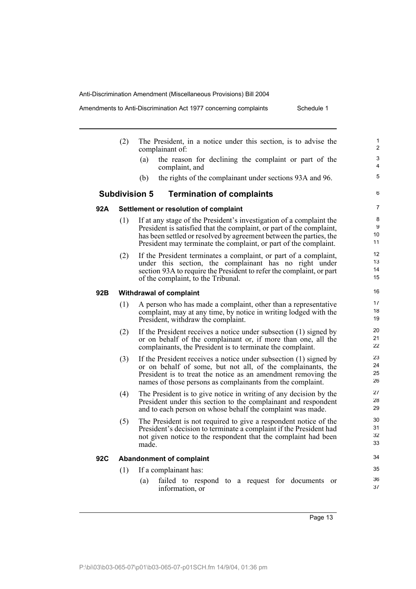Amendments to Anti-Discrimination Act 1977 concerning complaints Schedule 1

- (2) The President, in a notice under this section, is to advise the complainant of:
	- (a) the reason for declining the complaint or part of the complaint, and
	- (b) the rights of the complainant under sections 93A and 96.

#### **Subdivision 5 Termination of complaints**

#### **92A Settlement or resolution of complaint**

- (1) If at any stage of the President's investigation of a complaint the President is satisfied that the complaint, or part of the complaint, has been settled or resolved by agreement between the parties, the President may terminate the complaint, or part of the complaint.
- (2) If the President terminates a complaint, or part of a complaint, under this section, the complainant has no right under section 93A to require the President to refer the complaint, or part of the complaint, to the Tribunal.

#### **92B Withdrawal of complaint**

- (1) A person who has made a complaint, other than a representative complaint, may at any time, by notice in writing lodged with the President, withdraw the complaint.
- (2) If the President receives a notice under subsection (1) signed by or on behalf of the complainant or, if more than one, all the complainants, the President is to terminate the complaint.
- (3) If the President receives a notice under subsection (1) signed by or on behalf of some, but not all, of the complainants, the President is to treat the notice as an amendment removing the names of those persons as complainants from the complaint.
- (4) The President is to give notice in writing of any decision by the President under this section to the complainant and respondent and to each person on whose behalf the complaint was made.
- (5) The President is not required to give a respondent notice of the President's decision to terminate a complaint if the President had not given notice to the respondent that the complaint had been made.

#### **92C Abandonment of complaint**

- (1) If a complainant has:
	- (a) failed to respond to a request for documents or information, or

Page 13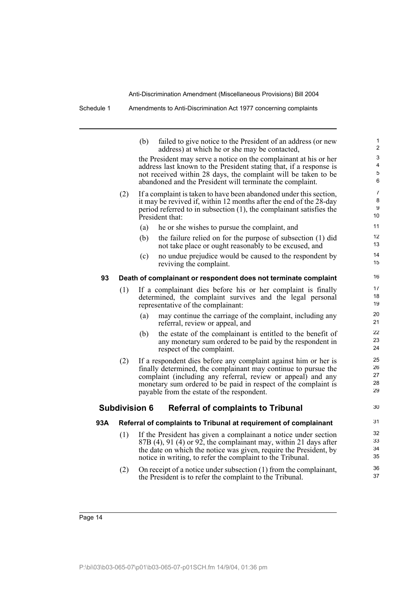|     |     | (b)<br>failed to give notice to the President of an address (or new<br>address) at which he or she may be contacted,                     | $\mathbf{1}$<br>$\overline{2}$ |
|-----|-----|------------------------------------------------------------------------------------------------------------------------------------------|--------------------------------|
|     |     | the President may serve a notice on the complainant at his or her                                                                        | 3                              |
|     |     | address last known to the President stating that, if a response is                                                                       | $\overline{4}$                 |
|     |     | not received within 28 days, the complaint will be taken to be<br>abandoned and the President will terminate the complaint.              | 5<br>6                         |
|     |     |                                                                                                                                          | $\overline{7}$                 |
|     | (2) | If a complaint is taken to have been abandoned under this section,<br>it may be revived if, within 12 months after the end of the 28-day | 8                              |
|     |     | period referred to in subsection $(1)$ , the complainant satisfies the                                                                   | 9                              |
|     |     | President that:                                                                                                                          | 10                             |
|     |     | (a)<br>he or she wishes to pursue the complaint, and                                                                                     | 11                             |
|     |     | the failure relied on for the purpose of subsection (1) did<br>(b)                                                                       | 12                             |
|     |     | not take place or ought reasonably to be excused, and                                                                                    | 13                             |
|     |     | no undue prejudice would be caused to the respondent by<br>(c)                                                                           | 14                             |
|     |     | reviving the complaint.                                                                                                                  | 15                             |
| 93  |     | Death of complainant or respondent does not terminate complaint                                                                          | 16                             |
|     | (1) | If a complainant dies before his or her complaint is finally                                                                             | 17                             |
|     |     | determined, the complaint survives and the legal personal                                                                                | 18                             |
|     |     | representative of the complainant:                                                                                                       | 19                             |
|     |     | may continue the carriage of the complaint, including any<br>(a)                                                                         | 20<br>21                       |
|     |     | referral, review or appeal, and                                                                                                          | 22                             |
|     |     | the estate of the complainant is entitled to the benefit of<br>(b)<br>any monetary sum ordered to be paid by the respondent in           | 23                             |
|     |     | respect of the complaint.                                                                                                                | 24                             |
|     | (2) | If a respondent dies before any complaint against him or her is                                                                          | 25                             |
|     |     | finally determined, the complainant may continue to pursue the                                                                           | 26                             |
|     |     | complaint (including any referral, review or appeal) and any                                                                             | 27                             |
|     |     | monetary sum ordered to be paid in respect of the complaint is                                                                           | 28<br>29                       |
|     |     | payable from the estate of the respondent.                                                                                               |                                |
|     |     | <b>Subdivision 6</b><br><b>Referral of complaints to Tribunal</b>                                                                        | 30                             |
| 93A |     | Referral of complaints to Tribunal at requirement of complainant                                                                         | 31                             |
|     | (1) | If the President has given a complainant a notice under section                                                                          | 32                             |
|     |     | 87B (4), 91 (4) or 92, the complainant may, within 21 days after                                                                         | 33                             |
|     |     | the date on which the notice was given, require the President, by                                                                        | 34                             |
|     |     | notice in writing, to refer the complaint to the Tribunal.                                                                               | 35                             |
|     | (2) | On receipt of a notice under subsection $(1)$ from the complainant,                                                                      | 36                             |
|     |     | the President is to refer the complaint to the Tribunal.                                                                                 | 37                             |
|     |     |                                                                                                                                          |                                |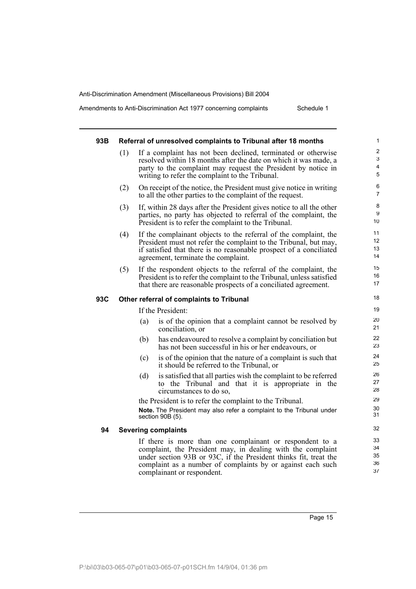Amendments to Anti-Discrimination Act 1977 concerning complaints Schedule 1

| 93B |     | Referral of unresolved complaints to Tribunal after 18 months                                                                                                                                                                                                                            | 1                          |
|-----|-----|------------------------------------------------------------------------------------------------------------------------------------------------------------------------------------------------------------------------------------------------------------------------------------------|----------------------------|
|     | (1) | If a complaint has not been declined, terminated or otherwise<br>resolved within 18 months after the date on which it was made, a<br>party to the complaint may request the President by notice in<br>writing to refer the complaint to the Tribunal.                                    | 2<br>3<br>4<br>5           |
|     | (2) | On receipt of the notice, the President must give notice in writing<br>to all the other parties to the complaint of the request.                                                                                                                                                         | 6<br>$\overline{7}$        |
|     | (3) | If, within 28 days after the President gives notice to all the other<br>parties, no party has objected to referral of the complaint, the<br>President is to refer the complaint to the Tribunal.                                                                                         | 8<br>9<br>10               |
|     | (4) | If the complainant objects to the referral of the complaint, the<br>President must not refer the complaint to the Tribunal, but may,<br>if satisfied that there is no reasonable prospect of a conciliated<br>agreement, terminate the complaint.                                        | 11<br>12<br>13<br>14       |
|     | (5) | If the respondent objects to the referral of the complaint, the<br>President is to refer the complaint to the Tribunal, unless satisfied<br>that there are reasonable prospects of a conciliated agreement.                                                                              | 15<br>16<br>17             |
| 93C |     | Other referral of complaints to Tribunal                                                                                                                                                                                                                                                 | 18                         |
|     |     | If the President:                                                                                                                                                                                                                                                                        | 19                         |
|     |     | is of the opinion that a complaint cannot be resolved by<br>(a)<br>conciliation, or                                                                                                                                                                                                      | 20<br>21                   |
|     |     | (b)<br>has endeavoured to resolve a complaint by conciliation but<br>has not been successful in his or her endeavours, or                                                                                                                                                                | 22<br>23                   |
|     |     | is of the opinion that the nature of a complaint is such that<br>(c)<br>it should be referred to the Tribunal, or                                                                                                                                                                        | 24<br>25                   |
|     |     | is satisfied that all parties wish the complaint to be referred<br>(d)<br>to the Tribunal and that it is appropriate in the<br>circumstances to do so,                                                                                                                                   | 26<br>27<br>28             |
|     |     | the President is to refer the complaint to the Tribunal.<br>Note. The President may also refer a complaint to the Tribunal under<br>section 90B (5).                                                                                                                                     | 29<br>30<br>31             |
| 94  |     | <b>Severing complaints</b>                                                                                                                                                                                                                                                               | 32                         |
|     |     | If there is more than one complainant or respondent to a<br>complaint, the President may, in dealing with the complaint<br>under section 93B or 93C, if the President thinks fit, treat the<br>complaint as a number of complaints by or against each such<br>complainant or respondent. | 33<br>34<br>35<br>36<br>37 |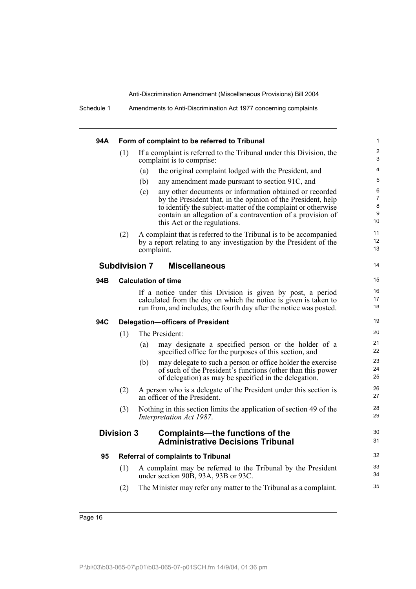| 94A |                   | Form of complaint to be referred to Tribunal                                                                                                                                                                                                                                                 |                   |
|-----|-------------------|----------------------------------------------------------------------------------------------------------------------------------------------------------------------------------------------------------------------------------------------------------------------------------------------|-------------------|
|     | (1)               | If a complaint is referred to the Tribunal under this Division, the<br>complaint is to comprise:                                                                                                                                                                                             | $\overline{2}$    |
|     |                   | the original complaint lodged with the President, and<br>(a)                                                                                                                                                                                                                                 |                   |
|     |                   | (b)<br>any amendment made pursuant to section 91C, and                                                                                                                                                                                                                                       | $\overline{5}$    |
|     |                   | any other documents or information obtained or recorded<br>(c)<br>by the President that, in the opinion of the President, help<br>to identify the subject-matter of the complaint or otherwise<br>contain an allegation of a contravention of a provision of<br>this Act or the regulations. | 6<br>8<br>9<br>10 |
|     | (2)               | A complaint that is referred to the Tribunal is to be accompanied<br>by a report relating to any investigation by the President of the<br>complaint.                                                                                                                                         | 11<br>12<br>13    |
|     |                   | <b>Subdivision 7</b><br><b>Miscellaneous</b>                                                                                                                                                                                                                                                 | 14                |
| 94B |                   | <b>Calculation of time</b>                                                                                                                                                                                                                                                                   | 15                |
|     |                   | If a notice under this Division is given by post, a period<br>calculated from the day on which the notice is given is taken to<br>run from, and includes, the fourth day after the notice was posted.                                                                                        | 16<br>17<br>18    |
| 94C |                   | <b>Delegation-officers of President</b>                                                                                                                                                                                                                                                      | 19                |
|     | (1)               | The President:                                                                                                                                                                                                                                                                               | 20                |
|     |                   | may designate a specified person or the holder of a<br>(a)<br>specified office for the purposes of this section, and                                                                                                                                                                         | 21<br>22          |
|     |                   | may delegate to such a person or office holder the exercise<br>(b)<br>of such of the President's functions (other than this power<br>of delegation) as may be specified in the delegation.                                                                                                   | 23<br>24<br>25    |
|     | (2)               | A person who is a delegate of the President under this section is<br>an officer of the President.                                                                                                                                                                                            | 26<br>27          |
|     | (3)               | Nothing in this section limits the application of section 49 of the<br>Interpretation Act 1987.                                                                                                                                                                                              | 28<br>29          |
|     | <b>Division 3</b> | <b>Complaints-the functions of the</b><br><b>Administrative Decisions Tribunal</b>                                                                                                                                                                                                           | 30<br>31          |
|     |                   | <b>Referral of complaints to Tribunal</b>                                                                                                                                                                                                                                                    | 32                |
| 95  |                   |                                                                                                                                                                                                                                                                                              |                   |
|     | (1)               | A complaint may be referred to the Tribunal by the President<br>under section 90B, 93A, 93B or 93C.                                                                                                                                                                                          | 33<br>34          |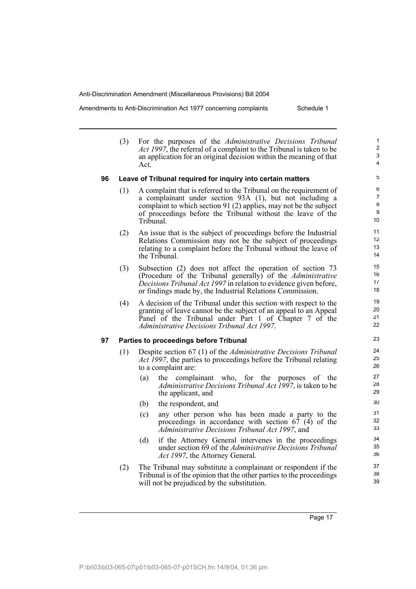Amendments to Anti-Discrimination Act 1977 concerning complaints Schedule 1

(3) For the purposes of the *Administrative Decisions Tribunal Act 1997*, the referral of a complaint to the Tribunal is taken to be an application for an original decision within the meaning of that Act.

#### **96 Leave of Tribunal required for inquiry into certain matters**

- (1) A complaint that is referred to the Tribunal on the requirement of a complainant under section 93A (1), but not including a complaint to which section 91 (2) applies, may not be the subject of proceedings before the Tribunal without the leave of the Tribunal.
- (2) An issue that is the subject of proceedings before the Industrial Relations Commission may not be the subject of proceedings relating to a complaint before the Tribunal without the leave of the Tribunal.
- (3) Subsection (2) does not affect the operation of section 73 (Procedure of the Tribunal generally) of the *Administrative Decisions Tribunal Act 1997* in relation to evidence given before, or findings made by, the Industrial Relations Commission.
- (4) A decision of the Tribunal under this section with respect to the granting of leave cannot be the subject of an appeal to an Appeal Panel of the Tribunal under Part 1 of Chapter 7 of the *Administrative Decisions Tribunal Act 1997*.

#### **97 Parties to proceedings before Tribunal**

- (1) Despite section 67 (1) of the *Administrative Decisions Tribunal Act 1997*, the parties to proceedings before the Tribunal relating to a complaint are:
	- (a) the complainant who, for the purposes of the *Administrative Decisions Tribunal Act 1997*, is taken to be the applicant, and
	- (b) the respondent, and
	- (c) any other person who has been made a party to the proceedings in accordance with section  $6\overline{7}$  (4) of the *Administrative Decisions Tribunal Act 1997*, and
	- (d) if the Attorney General intervenes in the proceedings under section 69 of the *Administrative Decisions Tribunal Act 1997*, the Attorney General.
- (2) The Tribunal may substitute a complainant or respondent if the Tribunal is of the opinion that the other parties to the proceedings will not be prejudiced by the substitution.

Page 17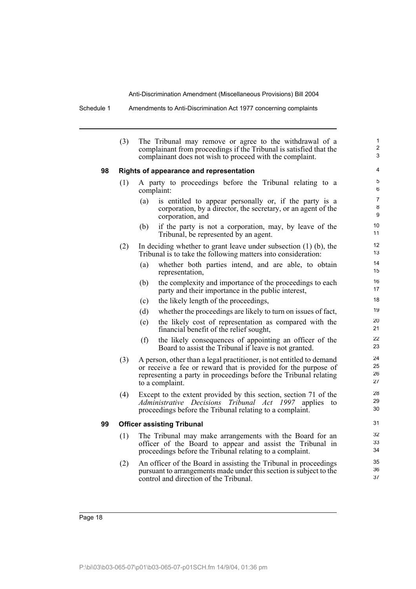Schedule 1 Amendments to Anti-Discrimination Act 1977 concerning complaints

|    | (3) | The Tribunal may remove or agree to the withdrawal of a<br>complainant from proceedings if the Tribunal is satisfied that the<br>complainant does not wish to proceed with the complaint.                                     | $\mathbf{1}$<br>$\overline{2}$<br>3 |
|----|-----|-------------------------------------------------------------------------------------------------------------------------------------------------------------------------------------------------------------------------------|-------------------------------------|
| 98 |     | Rights of appearance and representation                                                                                                                                                                                       | 4                                   |
|    | (1) | A party to proceedings before the Tribunal relating to a<br>complaint:                                                                                                                                                        | 5<br>6                              |
|    |     | is entitled to appear personally or, if the party is a<br>(a)<br>corporation, by a director, the secretary, or an agent of the<br>corporation, and                                                                            | $\overline{7}$<br>8<br>9            |
|    |     | (b)<br>if the party is not a corporation, may, by leave of the<br>Tribunal, be represented by an agent.                                                                                                                       | 10<br>11                            |
|    | (2) | In deciding whether to grant leave under subsection $(1)$ (b), the<br>Tribunal is to take the following matters into consideration:                                                                                           | 12<br>13                            |
|    |     | whether both parties intend, and are able, to obtain<br>(a)<br>representation,                                                                                                                                                | 14<br>15                            |
|    |     | (b)<br>the complexity and importance of the proceedings to each<br>party and their importance in the public interest,                                                                                                         | 16<br>17                            |
|    |     | the likely length of the proceedings,<br>(c)                                                                                                                                                                                  | 18                                  |
|    |     | (d)<br>whether the proceedings are likely to turn on issues of fact,                                                                                                                                                          | 19                                  |
|    |     | the likely cost of representation as compared with the<br>(e)<br>financial benefit of the relief sought,                                                                                                                      | 20<br>21                            |
|    |     | (f)<br>the likely consequences of appointing an officer of the<br>Board to assist the Tribunal if leave is not granted.                                                                                                       | 22<br>23                            |
|    | (3) | A person, other than a legal practitioner, is not entitled to demand<br>or receive a fee or reward that is provided for the purpose of<br>representing a party in proceedings before the Tribunal relating<br>to a complaint. | 24<br>25<br>26<br>27                |
|    | (4) | Except to the extent provided by this section, section 71 of the<br>Administrative Decisions Tribunal Act 1997 applies<br>to<br>proceedings before the Tribunal relating to a complaint.                                      | 28<br>29<br>30                      |
| 99 |     | <b>Officer assisting Tribunal</b>                                                                                                                                                                                             | 31                                  |
|    | (1) | The Tribunal may make arrangements with the Board for an<br>officer of the Board to appear and assist the Tribunal in<br>proceedings before the Tribunal relating to a complaint.                                             | 32<br>33<br>34                      |
|    | (2) | An officer of the Board in assisting the Tribunal in proceedings<br>pursuant to arrangements made under this section is subject to the<br>control and direction of the Tribunal.                                              | 35<br>36<br>37                      |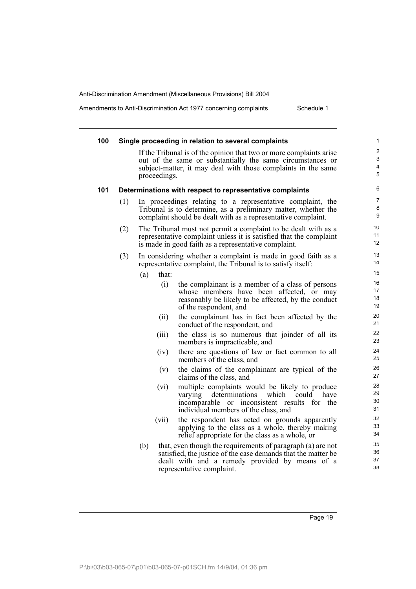Amendments to Anti-Discrimination Act 1977 concerning complaints Schedule 1

**100 Single proceeding in relation to several complaints** If the Tribunal is of the opinion that two or more complaints arise out of the same or substantially the same circumstances or subject-matter, it may deal with those complaints in the same proceedings. **101 Determinations with respect to representative complaints** (1) In proceedings relating to a representative complaint, the Tribunal is to determine, as a preliminary matter, whether the complaint should be dealt with as a representative complaint. (2) The Tribunal must not permit a complaint to be dealt with as a representative complaint unless it is satisfied that the complaint is made in good faith as a representative complaint. (3) In considering whether a complaint is made in good faith as a representative complaint, the Tribunal is to satisfy itself: (a) that: (i) the complainant is a member of a class of persons whose members have been affected, or may reasonably be likely to be affected, by the conduct of the respondent, and (ii) the complainant has in fact been affected by the conduct of the respondent, and (iii) the class is so numerous that joinder of all its members is impracticable, and (iv) there are questions of law or fact common to all members of the class, and (v) the claims of the complainant are typical of the claims of the class, and (vi) multiple complaints would be likely to produce varying determinations which could have incomparable or inconsistent results for the individual members of the class, and (vii) the respondent has acted on grounds apparently applying to the class as a whole, thereby making 1 2 3 4 5 6 7 8 9 10 11 12 13 14 15 16 17 18 19 20 21 22 23  $24$ 25 26 27 28 29 30 31 32 33 34

> (b) that, even though the requirements of paragraph (a) are not satisfied, the justice of the case demands that the matter be dealt with and a remedy provided by means of a representative complaint.

relief appropriate for the class as a whole, or

Page 19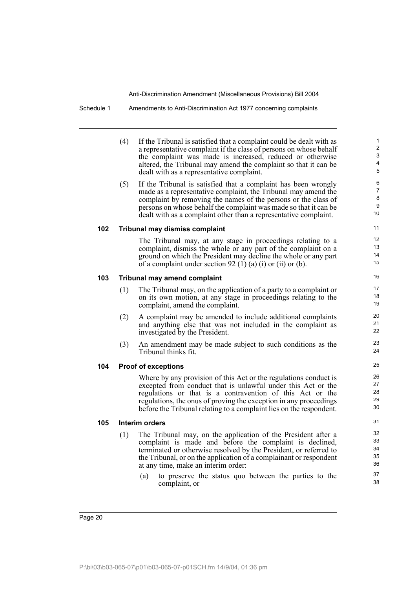(4) If the Tribunal is satisfied that a complaint could be dealt with as a representative complaint if the class of persons on whose behalf the complaint was made is increased, reduced or otherwise altered, the Tribunal may amend the complaint so that it can be dealt with as a representative complaint. (5) If the Tribunal is satisfied that a complaint has been wrongly

made as a representative complaint, the Tribunal may amend the complaint by removing the names of the persons or the class of persons on whose behalf the complaint was made so that it can be dealt with as a complaint other than a representative complaint.

#### **102 Tribunal may dismiss complaint**

The Tribunal may, at any stage in proceedings relating to a complaint, dismiss the whole or any part of the complaint on a ground on which the President may decline the whole or any part of a complaint under section 92 (1) (a) (i) or (ii) or (b).

#### **103 Tribunal may amend complaint**

- (1) The Tribunal may, on the application of a party to a complaint or on its own motion, at any stage in proceedings relating to the complaint, amend the complaint.
- (2) A complaint may be amended to include additional complaints and anything else that was not included in the complaint as investigated by the President.
- (3) An amendment may be made subject to such conditions as the Tribunal thinks fit.

#### **104 Proof of exceptions**

Where by any provision of this Act or the regulations conduct is excepted from conduct that is unlawful under this Act or the regulations or that is a contravention of this Act or the regulations, the onus of proving the exception in any proceedings before the Tribunal relating to a complaint lies on the respondent.

#### **105 Interim orders**

- (1) The Tribunal may, on the application of the President after a complaint is made and before the complaint is declined, terminated or otherwise resolved by the President, or referred to the Tribunal, or on the application of a complainant or respondent at any time, make an interim order:
	- (a) to preserve the status quo between the parties to the complaint, or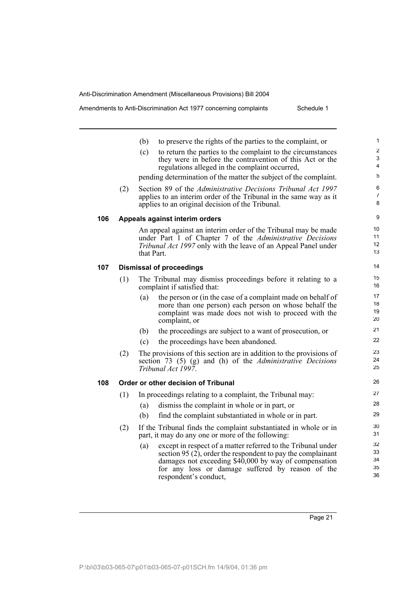Amendments to Anti-Discrimination Act 1977 concerning complaints Schedule 1

|     |     | (b)                | to preserve the rights of the parties to the complaint, or                                                                                                                                                                                                         | 1                          |
|-----|-----|--------------------|--------------------------------------------------------------------------------------------------------------------------------------------------------------------------------------------------------------------------------------------------------------------|----------------------------|
|     |     | (c)                | to return the parties to the complaint to the circumstances                                                                                                                                                                                                        | 2                          |
|     |     |                    | they were in before the contravention of this Act or the<br>regulations alleged in the complaint occurred,                                                                                                                                                         | 3<br>4                     |
|     |     |                    | pending determination of the matter the subject of the complaint.                                                                                                                                                                                                  | 5                          |
|     | (2) |                    | Section 89 of the Administrative Decisions Tribunal Act 1997                                                                                                                                                                                                       | 6                          |
|     |     |                    | applies to an interim order of the Tribunal in the same way as it<br>applies to an original decision of the Tribunal.                                                                                                                                              | 7<br>8                     |
| 106 |     |                    | Appeals against interim orders                                                                                                                                                                                                                                     | 9                          |
|     |     |                    | An appeal against an interim order of the Tribunal may be made                                                                                                                                                                                                     | 10                         |
|     |     |                    | under Part 1 of Chapter 7 of the Administrative Decisions                                                                                                                                                                                                          | 11                         |
|     |     |                    | <i>Tribunal Act 1997</i> only with the leave of an Appeal Panel under                                                                                                                                                                                              | 12<br>13                   |
|     |     | that Part.         |                                                                                                                                                                                                                                                                    |                            |
| 107 |     |                    | <b>Dismissal of proceedings</b>                                                                                                                                                                                                                                    | 14                         |
|     | (1) |                    | The Tribunal may dismiss proceedings before it relating to a<br>complaint if satisfied that:                                                                                                                                                                       | 15<br>16                   |
|     |     | (a)                | the person or (in the case of a complaint made on behalf of                                                                                                                                                                                                        | 17                         |
|     |     |                    | more than one person) each person on whose behalf the                                                                                                                                                                                                              | 18<br>19                   |
|     |     |                    | complaint was made does not wish to proceed with the<br>complaint, or                                                                                                                                                                                              | 20                         |
|     |     | (b)                | the proceedings are subject to a want of prosecution, or                                                                                                                                                                                                           | 21                         |
|     |     | (c)                | the proceedings have been abandoned.                                                                                                                                                                                                                               | 22                         |
|     | (2) |                    | The provisions of this section are in addition to the provisions of                                                                                                                                                                                                | 23                         |
|     |     | Tribunal Act 1997. | section 73 (5) (g) and (h) of the <i>Administrative Decisions</i>                                                                                                                                                                                                  | 24<br>25                   |
| 108 |     |                    | Order or other decision of Tribunal                                                                                                                                                                                                                                | 26                         |
|     | (1) |                    | In proceedings relating to a complaint, the Tribunal may:                                                                                                                                                                                                          | 27                         |
|     |     | (a)                | dismiss the complaint in whole or in part, or                                                                                                                                                                                                                      | 28                         |
|     |     | (b)                | find the complaint substantiated in whole or in part.                                                                                                                                                                                                              | 29                         |
|     | (2) |                    | If the Tribunal finds the complaint substantiated in whole or in<br>part, it may do any one or more of the following:                                                                                                                                              | 30<br>31                   |
|     |     | (a)                | except in respect of a matter referred to the Tribunal under<br>section 95 (2), order the respondent to pay the complainant<br>damages not exceeding $$40,000$ by way of compensation<br>for any loss or damage suffered by reason of the<br>respondent's conduct, | 32<br>33<br>34<br>35<br>36 |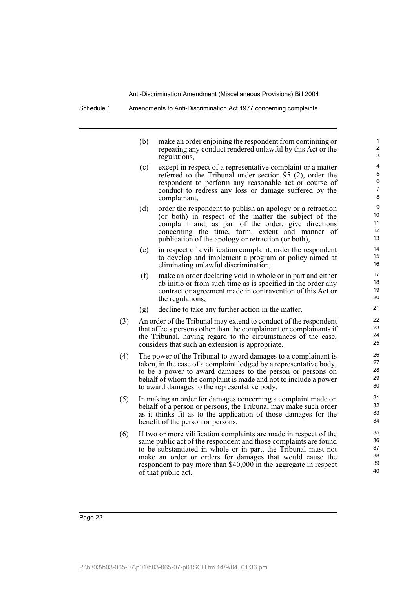|     | (b) | make an order enjoining the respondent from continuing or<br>repeating any conduct rendered unlawful by this Act or the<br>regulations,                                                                                                                                                                                                                        |
|-----|-----|----------------------------------------------------------------------------------------------------------------------------------------------------------------------------------------------------------------------------------------------------------------------------------------------------------------------------------------------------------------|
|     | (c) | except in respect of a representative complaint or a matter<br>referred to the Tribunal under section $\overline{95}$ (2), order the<br>respondent to perform any reasonable act or course of<br>conduct to redress any loss or damage suffered by the<br>complainant,                                                                                         |
|     | (d) | order the respondent to publish an apology or a retraction<br>(or both) in respect of the matter the subject of the<br>complaint and, as part of the order, give directions<br>concerning the time, form, extent and manner of<br>publication of the apology or retraction (or both),                                                                          |
|     | (e) | in respect of a vilification complaint, order the respondent<br>to develop and implement a program or policy aimed at<br>eliminating unlawful discrimination,                                                                                                                                                                                                  |
|     | (f) | make an order declaring void in whole or in part and either<br>ab initio or from such time as is specified in the order any<br>contract or agreement made in contravention of this Act or<br>the regulations,                                                                                                                                                  |
|     | (g) | decline to take any further action in the matter.                                                                                                                                                                                                                                                                                                              |
| (3) |     | An order of the Tribunal may extend to conduct of the respondent<br>that affects persons other than the complainant or complainants if<br>the Tribunal, having regard to the circumstances of the case,<br>considers that such an extension is appropriate.                                                                                                    |
| (4) |     | The power of the Tribunal to award damages to a complainant is<br>taken, in the case of a complaint lodged by a representative body,<br>to be a power to award damages to the person or persons on<br>behalf of whom the complaint is made and not to include a power<br>to award damages to the representative body.                                          |
| (5) |     | In making an order for damages concerning a complaint made on<br>behalf of a person or persons, the Tribunal may make such order<br>as it thinks fit as to the application of those damages for the<br>benefit of the person or persons.                                                                                                                       |
| (6) |     | If two or more vilification complaints are made in respect of the<br>same public act of the respondent and those complaints are found<br>to be substantiated in whole or in part, the Tribunal must not<br>make an order or orders for damages that would cause the<br>respondent to pay more than \$40,000 in the aggregate in respect<br>of that public act. |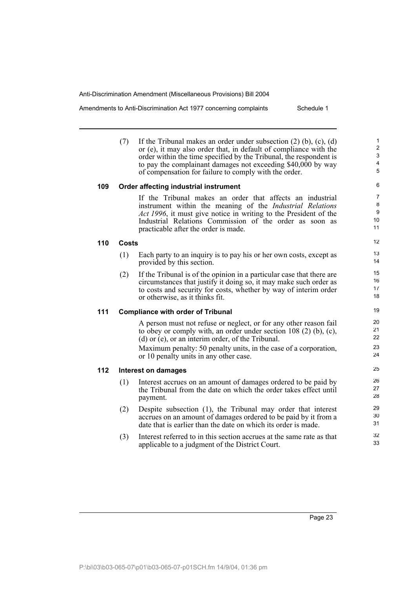Amendments to Anti-Discrimination Act 1977 concerning complaints Schedule 1

(7) If the Tribunal makes an order under subsection (2) (b), (c), (d) or (e), it may also order that, in default of compliance with the order within the time specified by the Tribunal, the respondent is to pay the complainant damages not exceeding \$40,000 by way of compensation for failure to comply with the order.

#### **109 Order affecting industrial instrument**

If the Tribunal makes an order that affects an industrial instrument within the meaning of the *Industrial Relations Act 1996*, it must give notice in writing to the President of the Industrial Relations Commission of the order as soon as practicable after the order is made.

#### **110 Costs**

- (1) Each party to an inquiry is to pay his or her own costs, except as provided by this section.
- (2) If the Tribunal is of the opinion in a particular case that there are circumstances that justify it doing so, it may make such order as to costs and security for costs, whether by way of interim order or otherwise, as it thinks fit.

#### **111 Compliance with order of Tribunal**

A person must not refuse or neglect, or for any other reason fail to obey or comply with, an order under section 108 (2) (b), (c), (d) or (e), or an interim order, of the Tribunal.

Maximum penalty: 50 penalty units, in the case of a corporation, or 10 penalty units in any other case.

#### **112 Interest on damages**

- (1) Interest accrues on an amount of damages ordered to be paid by the Tribunal from the date on which the order takes effect until payment.
- (2) Despite subsection (1), the Tribunal may order that interest accrues on an amount of damages ordered to be paid by it from a date that is earlier than the date on which its order is made.
- (3) Interest referred to in this section accrues at the same rate as that applicable to a judgment of the District Court.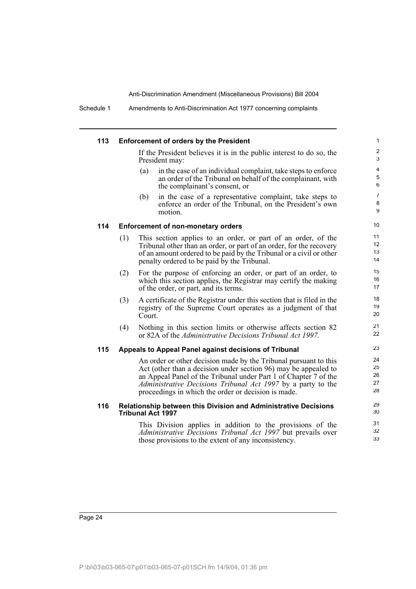#### **113 Enforcement of orders by the President**

If the President believes it is in the public interest to do so, the President may:

- (a) in the case of an individual complaint, take steps to enforce an order of the Tribunal on behalf of the complainant, with the complainant's consent, or
- (b) in the case of a representative complaint, take steps to enforce an order of the Tribunal, on the President's own motion.

#### **114 Enforcement of non-monetary orders**

- (1) This section applies to an order, or part of an order, of the Tribunal other than an order, or part of an order, for the recovery of an amount ordered to be paid by the Tribunal or a civil or other penalty ordered to be paid by the Tribunal.
- (2) For the purpose of enforcing an order, or part of an order, to which this section applies, the Registrar may certify the making of the order, or part, and its terms.
- (3) A certificate of the Registrar under this section that is filed in the registry of the Supreme Court operates as a judgment of that Court.
- (4) Nothing in this section limits or otherwise affects section 82 or 82A of the *Administrative Decisions Tribunal Act 1997*.

#### **115 Appeals to Appeal Panel against decisions of Tribunal**

An order or other decision made by the Tribunal pursuant to this Act (other than a decision under section 96) may be appealed to an Appeal Panel of the Tribunal under Part 1 of Chapter 7 of the *Administrative Decisions Tribunal Act 1997* by a party to the proceedings in which the order or decision is made.

#### **116 Relationship between this Division and Administrative Decisions Tribunal Act 1997**

This Division applies in addition to the provisions of the *Administrative Decisions Tribunal Act 1997* but prevails over those provisions to the extent of any inconsistency.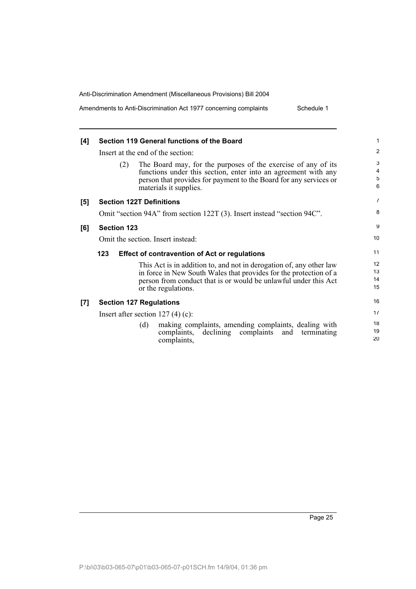Amendments to Anti-Discrimination Act 1977 concerning complaints Schedule 1

| [4]   | Section 119 General functions of the Board                                                                                                                                                                                            | 1                    |
|-------|---------------------------------------------------------------------------------------------------------------------------------------------------------------------------------------------------------------------------------------|----------------------|
|       | Insert at the end of the section:                                                                                                                                                                                                     | 2                    |
|       | The Board may, for the purposes of the exercise of any of its<br>(2)<br>functions under this section, enter into an agreement with any<br>person that provides for payment to the Board for any services or<br>materials it supplies. | 3<br>4<br>5<br>6     |
| [5]   | <b>Section 122T Definitions</b>                                                                                                                                                                                                       | 7                    |
|       | Omit "section 94A" from section 122T (3). Insert instead "section 94C".                                                                                                                                                               | 8                    |
| [6]   | <b>Section 123</b>                                                                                                                                                                                                                    | 9                    |
|       | Omit the section. Insert instead:                                                                                                                                                                                                     | 10                   |
|       | 123<br><b>Effect of contravention of Act or regulations</b>                                                                                                                                                                           | 11                   |
|       | This Act is in addition to, and not in derogation of, any other law<br>in force in New South Wales that provides for the protection of a<br>person from conduct that is or would be unlawful under this Act<br>or the regulations.    | 12<br>13<br>14<br>15 |
| $[7]$ | <b>Section 127 Regulations</b>                                                                                                                                                                                                        | 16                   |
|       | Insert after section 127 $(4)$ $(c)$ :                                                                                                                                                                                                | 17                   |
|       | making complaints, amending complaints, dealing with<br>(d)<br>complaints<br>complaints,<br>declining<br>and<br>terminating<br>complaints,                                                                                            | 18<br>19<br>20       |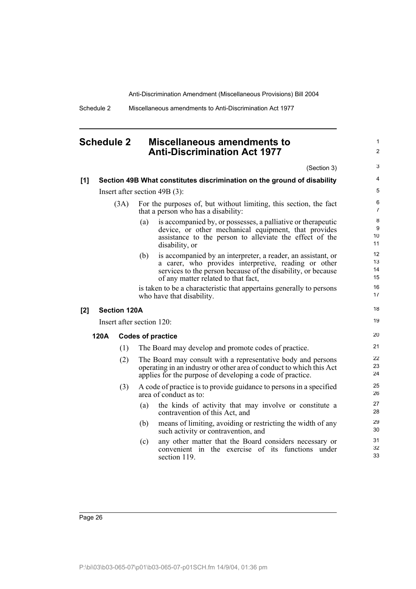Schedule 2 Miscellaneous amendments to Anti-Discrimination Act 1977

## <span id="page-35-0"></span>**Schedule 2 Miscellaneous amendments to Anti-Discrimination Act 1977**

1 2

|     |      |                           |                          | (Section 3)                                                                                                                                                                                                                 | 3                    |
|-----|------|---------------------------|--------------------------|-----------------------------------------------------------------------------------------------------------------------------------------------------------------------------------------------------------------------------|----------------------|
| [1] |      |                           |                          | Section 49B What constitutes discrimination on the ground of disability                                                                                                                                                     | 4                    |
|     |      |                           |                          | Insert after section $49B(3)$ :                                                                                                                                                                                             | 5                    |
|     | (3A) |                           |                          | For the purposes of, but without limiting, this section, the fact<br>that a person who has a disability:                                                                                                                    | 6<br>$\overline{7}$  |
|     |      |                           | (a)                      | is accompanied by, or possesses, a palliative or therapeutic<br>device, or other mechanical equipment, that provides<br>assistance to the person to alleviate the effect of the<br>disability, or                           | 8<br>9<br>10<br>11   |
|     |      |                           | (b)                      | is accompanied by an interpreter, a reader, an assistant, or<br>a carer, who provides interpretive, reading or other<br>services to the person because of the disability, or because<br>of any matter related to that fact, | 12<br>13<br>14<br>15 |
|     |      |                           |                          | is taken to be a characteristic that appertains generally to persons<br>who have that disability.                                                                                                                           | 16<br>17             |
| [2] |      | <b>Section 120A</b>       |                          |                                                                                                                                                                                                                             | 18                   |
|     |      | Insert after section 120: |                          |                                                                                                                                                                                                                             | 19                   |
|     | 120A |                           | <b>Codes of practice</b> |                                                                                                                                                                                                                             |                      |
|     |      | (1)                       |                          | The Board may develop and promote codes of practice.                                                                                                                                                                        | 21                   |
|     |      | (2)                       |                          | The Board may consult with a representative body and persons<br>operating in an industry or other area of conduct to which this Act<br>applies for the purpose of developing a code of practice.                            | 22<br>23<br>24       |
|     |      | (3)                       |                          | A code of practice is to provide guidance to persons in a specified<br>area of conduct as to:                                                                                                                               | 25<br>26             |
|     |      |                           | (a)                      | the kinds of activity that may involve or constitute a<br>contravention of this Act, and                                                                                                                                    | 27<br>28             |
|     |      |                           | (b)                      | means of limiting, avoiding or restricting the width of any<br>such activity or contravention, and                                                                                                                          | 29<br>30             |
|     |      |                           | (c)                      | any other matter that the Board considers necessary or<br>convenient in the exercise of its functions under<br>section 119.                                                                                                 | 31<br>32<br>33       |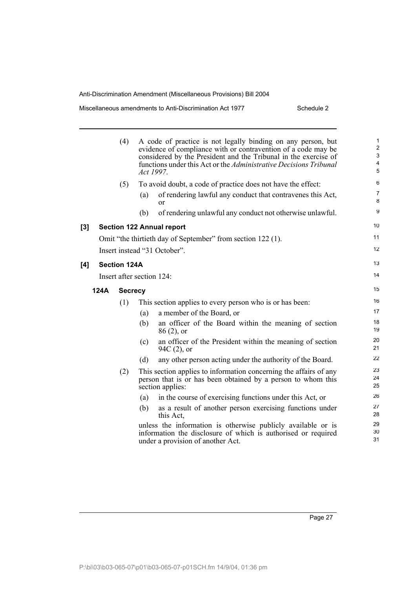Miscellaneous amendments to Anti-Discrimination Act 1977 Schedule 2

|     |                        | (4)                       | Act 1997. | A code of practice is not legally binding on any person, but<br>evidence of compliance with or contravention of a code may be<br>considered by the President and the Tribunal in the exercise of<br>functions under this Act or the Administrative Decisions Tribunal | 1<br>2<br>3<br>4<br>5 |
|-----|------------------------|---------------------------|-----------|-----------------------------------------------------------------------------------------------------------------------------------------------------------------------------------------------------------------------------------------------------------------------|-----------------------|
|     |                        | (5)                       |           | To avoid doubt, a code of practice does not have the effect:                                                                                                                                                                                                          | 6                     |
|     |                        |                           | (a)       | of rendering lawful any conduct that contravenes this Act,<br><sub>or</sub>                                                                                                                                                                                           | 7<br>8                |
|     |                        |                           | (b)       | of rendering unlawful any conduct not otherwise unlawful.                                                                                                                                                                                                             | 9                     |
| [3] |                        |                           |           | <b>Section 122 Annual report</b>                                                                                                                                                                                                                                      | 10                    |
|     |                        |                           |           | Omit "the thirtieth day of September" from section 122 (1).                                                                                                                                                                                                           | 11                    |
|     |                        |                           |           | Insert instead "31 October".                                                                                                                                                                                                                                          | 12                    |
| [4] |                        | <b>Section 124A</b>       |           |                                                                                                                                                                                                                                                                       | 13                    |
|     |                        | Insert after section 124: |           |                                                                                                                                                                                                                                                                       | 14                    |
|     | 124A<br><b>Secrecy</b> |                           |           |                                                                                                                                                                                                                                                                       | 15                    |
|     |                        |                           |           |                                                                                                                                                                                                                                                                       | 16                    |
|     |                        | (1)                       |           | This section applies to every person who is or has been:                                                                                                                                                                                                              |                       |
|     |                        |                           | (a)       | a member of the Board, or                                                                                                                                                                                                                                             | 17                    |
|     |                        |                           | (b)       | an officer of the Board within the meaning of section<br>$86(2)$ , or                                                                                                                                                                                                 | 18<br>19              |
|     |                        |                           | (c)       | an officer of the President within the meaning of section<br>$94C(2)$ , or                                                                                                                                                                                            | 20<br>21              |
|     |                        |                           | (d)       | any other person acting under the authority of the Board.                                                                                                                                                                                                             | 22                    |
|     |                        | (2)                       |           | This section applies to information concerning the affairs of any<br>person that is or has been obtained by a person to whom this<br>section applies:                                                                                                                 | 23<br>24<br>25        |
|     |                        |                           | (a)       | in the course of exercising functions under this Act, or                                                                                                                                                                                                              | 26                    |
|     |                        |                           | (b)       | as a result of another person exercising functions under<br>this Act.                                                                                                                                                                                                 | 27<br>28              |
|     |                        |                           |           | unless the information is otherwise publicly available or is<br>information the disclosure of which is authorised or required<br>under a provision of another Act.                                                                                                    | 29<br>30<br>31        |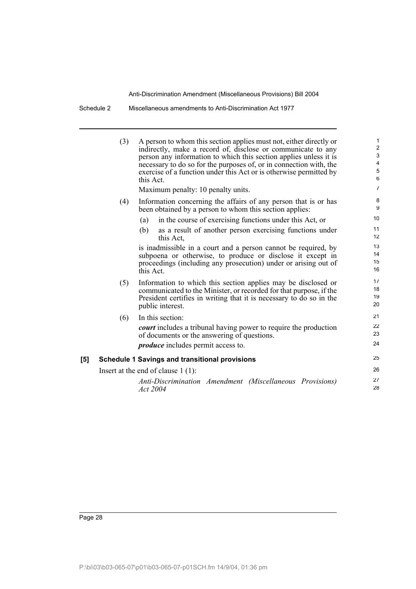| Miscellaneous amendments to Anti-Discrimination Act 1977 | Schedule 2 |  |  |  |
|----------------------------------------------------------|------------|--|--|--|
|----------------------------------------------------------|------------|--|--|--|

|     | (3) | A person to whom this section applies must not, either directly or<br>indirectly, make a record of, disclose or communicate to any<br>person any information to which this section applies unless it is<br>necessary to do so for the purposes of, or in connection with, the<br>exercise of a function under this Act or is otherwise permitted by<br>this Act.<br>Maximum penalty: 10 penalty units. | 1<br>$\overline{\mathbf{c}}$<br>3<br>4<br>5<br>6<br>$\overline{7}$ |
|-----|-----|--------------------------------------------------------------------------------------------------------------------------------------------------------------------------------------------------------------------------------------------------------------------------------------------------------------------------------------------------------------------------------------------------------|--------------------------------------------------------------------|
|     | (4) | Information concerning the affairs of any person that is or has<br>been obtained by a person to whom this section applies:                                                                                                                                                                                                                                                                             | 8<br>9                                                             |
|     |     | in the course of exercising functions under this Act, or<br>(a)                                                                                                                                                                                                                                                                                                                                        | 10                                                                 |
|     |     | (b)<br>as a result of another person exercising functions under<br>this Act.                                                                                                                                                                                                                                                                                                                           | 11<br>12                                                           |
|     |     | is inadmissible in a court and a person cannot be required, by<br>subpoena or otherwise, to produce or disclose it except in<br>proceedings (including any prosecution) under or arising out of<br>this Act.                                                                                                                                                                                           | 13<br>14<br>15<br>16                                               |
|     | (5) | Information to which this section applies may be disclosed or<br>communicated to the Minister, or recorded for that purpose, if the<br>President certifies in writing that it is necessary to do so in the<br>public interest.                                                                                                                                                                         | 17<br>18<br>19<br>20                                               |
|     | (6) | In this section:                                                                                                                                                                                                                                                                                                                                                                                       | 21                                                                 |
|     |     | <i>court</i> includes a tribunal having power to require the production<br>of documents or the answering of questions.                                                                                                                                                                                                                                                                                 | 22<br>23                                                           |
|     |     | <i>produce</i> includes permit access to.                                                                                                                                                                                                                                                                                                                                                              | 24                                                                 |
| [5] |     | <b>Schedule 1 Savings and transitional provisions</b>                                                                                                                                                                                                                                                                                                                                                  | 25                                                                 |
|     |     | Insert at the end of clause $1(1)$ :                                                                                                                                                                                                                                                                                                                                                                   | 26                                                                 |
|     |     | Anti-Discrimination Amendment (Miscellaneous Provisions)<br>Act 2004                                                                                                                                                                                                                                                                                                                                   | 27<br>28                                                           |
|     |     |                                                                                                                                                                                                                                                                                                                                                                                                        |                                                                    |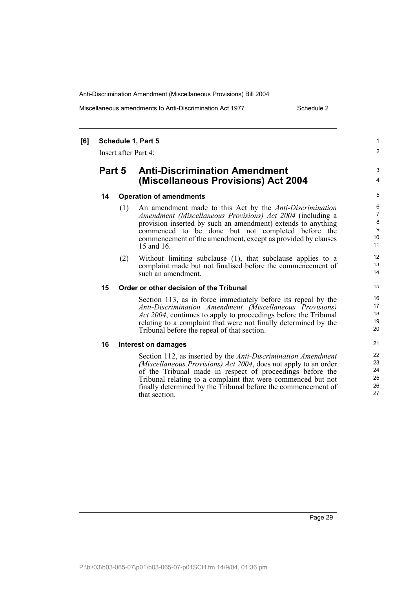Miscellaneous amendments to Anti-Discrimination Act 1977 Schedule 2

1 2

3 4

#### **[6] Schedule 1, Part 5**

Insert after Part 4:

### **Part 5 Anti-Discrimination Amendment (Miscellaneous Provisions) Act 2004**

#### **14 Operation of amendments**

- (1) An amendment made to this Act by the *Anti-Discrimination Amendment (Miscellaneous Provisions) Act 2004* (including a provision inserted by such an amendment) extends to anything commenced to be done but not completed before the commencement of the amendment, except as provided by clauses 15 and 16.
- (2) Without limiting subclause (1), that subclause applies to a complaint made but not finalised before the commencement of such an amendment.

#### **15 Order or other decision of the Tribunal**

Section 113, as in force immediately before its repeal by the *Anti-Discrimination Amendment (Miscellaneous Provisions) Act 2004*, continues to apply to proceedings before the Tribunal relating to a complaint that were not finally determined by the Tribunal before the repeal of that section.

#### **16 Interest on damages**

Section 112, as inserted by the *Anti-Discrimination Amendment (Miscellaneous Provisions) Act 2004*, does not apply to an order of the Tribunal made in respect of proceedings before the Tribunal relating to a complaint that were commenced but not finally determined by the Tribunal before the commencement of that section.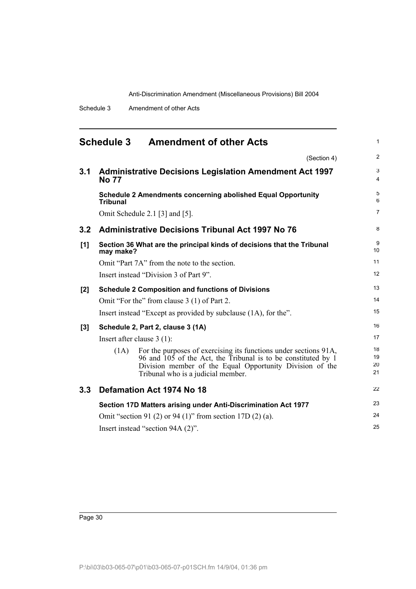<span id="page-39-0"></span>

|                 | <b>Amendment of other Acts</b>                                                                                                                                                                                                      | 1                                                                                                                                                                                                                                                                                                                                                                                                                                                                                                                                                                                                                                                                                                                                                                                                                                                                                     |
|-----------------|-------------------------------------------------------------------------------------------------------------------------------------------------------------------------------------------------------------------------------------|---------------------------------------------------------------------------------------------------------------------------------------------------------------------------------------------------------------------------------------------------------------------------------------------------------------------------------------------------------------------------------------------------------------------------------------------------------------------------------------------------------------------------------------------------------------------------------------------------------------------------------------------------------------------------------------------------------------------------------------------------------------------------------------------------------------------------------------------------------------------------------------|
|                 | (Section 4)                                                                                                                                                                                                                         | $\overline{2}$                                                                                                                                                                                                                                                                                                                                                                                                                                                                                                                                                                                                                                                                                                                                                                                                                                                                        |
| <b>No 77</b>    |                                                                                                                                                                                                                                     | 3<br>4                                                                                                                                                                                                                                                                                                                                                                                                                                                                                                                                                                                                                                                                                                                                                                                                                                                                                |
| <b>Tribunal</b> |                                                                                                                                                                                                                                     | 5<br>6                                                                                                                                                                                                                                                                                                                                                                                                                                                                                                                                                                                                                                                                                                                                                                                                                                                                                |
|                 |                                                                                                                                                                                                                                     | $\overline{7}$                                                                                                                                                                                                                                                                                                                                                                                                                                                                                                                                                                                                                                                                                                                                                                                                                                                                        |
|                 |                                                                                                                                                                                                                                     | 8                                                                                                                                                                                                                                                                                                                                                                                                                                                                                                                                                                                                                                                                                                                                                                                                                                                                                     |
|                 |                                                                                                                                                                                                                                     | 9<br>10                                                                                                                                                                                                                                                                                                                                                                                                                                                                                                                                                                                                                                                                                                                                                                                                                                                                               |
|                 |                                                                                                                                                                                                                                     | 11                                                                                                                                                                                                                                                                                                                                                                                                                                                                                                                                                                                                                                                                                                                                                                                                                                                                                    |
|                 |                                                                                                                                                                                                                                     | 12                                                                                                                                                                                                                                                                                                                                                                                                                                                                                                                                                                                                                                                                                                                                                                                                                                                                                    |
|                 |                                                                                                                                                                                                                                     | 13                                                                                                                                                                                                                                                                                                                                                                                                                                                                                                                                                                                                                                                                                                                                                                                                                                                                                    |
|                 |                                                                                                                                                                                                                                     | 14                                                                                                                                                                                                                                                                                                                                                                                                                                                                                                                                                                                                                                                                                                                                                                                                                                                                                    |
|                 |                                                                                                                                                                                                                                     | 15                                                                                                                                                                                                                                                                                                                                                                                                                                                                                                                                                                                                                                                                                                                                                                                                                                                                                    |
|                 |                                                                                                                                                                                                                                     | 16                                                                                                                                                                                                                                                                                                                                                                                                                                                                                                                                                                                                                                                                                                                                                                                                                                                                                    |
|                 |                                                                                                                                                                                                                                     | 17                                                                                                                                                                                                                                                                                                                                                                                                                                                                                                                                                                                                                                                                                                                                                                                                                                                                                    |
| (1A)            | For the purposes of exercising its functions under sections 91A,<br>96 and 105 of the Act, the Tribunal is to be constituted by 1<br>Division member of the Equal Opportunity Division of the<br>Tribunal who is a judicial member. | 18<br>19<br>20<br>21                                                                                                                                                                                                                                                                                                                                                                                                                                                                                                                                                                                                                                                                                                                                                                                                                                                                  |
|                 |                                                                                                                                                                                                                                     | 22                                                                                                                                                                                                                                                                                                                                                                                                                                                                                                                                                                                                                                                                                                                                                                                                                                                                                    |
|                 |                                                                                                                                                                                                                                     | 23                                                                                                                                                                                                                                                                                                                                                                                                                                                                                                                                                                                                                                                                                                                                                                                                                                                                                    |
|                 |                                                                                                                                                                                                                                     | 24                                                                                                                                                                                                                                                                                                                                                                                                                                                                                                                                                                                                                                                                                                                                                                                                                                                                                    |
|                 |                                                                                                                                                                                                                                     | 25                                                                                                                                                                                                                                                                                                                                                                                                                                                                                                                                                                                                                                                                                                                                                                                                                                                                                    |
|                 |                                                                                                                                                                                                                                     | Schedule 3<br><b>Administrative Decisions Legislation Amendment Act 1997</b><br><b>Schedule 2 Amendments concerning abolished Equal Opportunity</b><br>Omit Schedule 2.1 [3] and [5].<br><b>Administrative Decisions Tribunal Act 1997 No 76</b><br>Section 36 What are the principal kinds of decisions that the Tribunal<br>may make?<br>Omit "Part 7A" from the note to the section.<br>Insert instead "Division 3 of Part 9".<br><b>Schedule 2 Composition and functions of Divisions</b><br>Omit "For the" from clause 3 (1) of Part 2.<br>Insert instead "Except as provided by subclause (1A), for the".<br>Schedule 2, Part 2, clause 3 (1A)<br>Insert after clause $3(1)$ :<br>Defamation Act 1974 No 18<br>Section 17D Matters arising under Anti-Discrimination Act 1977<br>Omit "section 91 (2) or 94 (1)" from section 17D (2) (a).<br>Insert instead "section 94A (2)". |